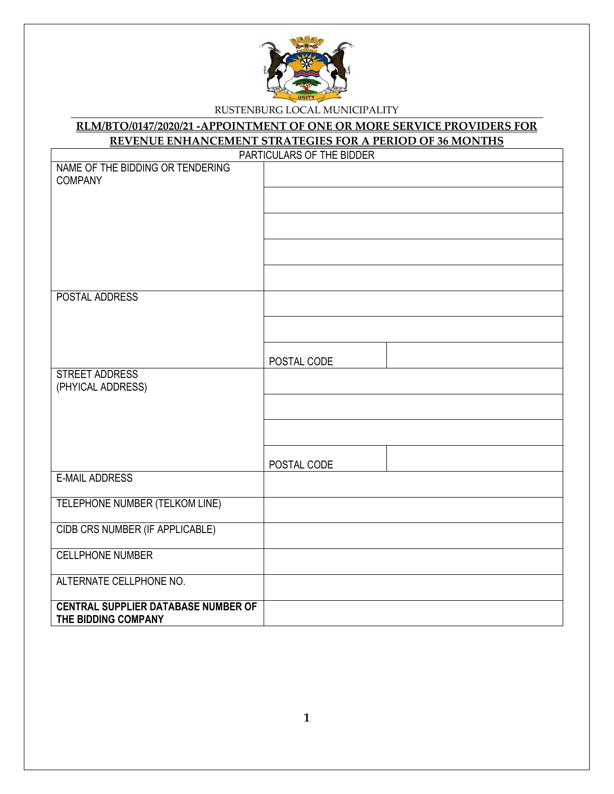

#### **RLM/BTO/0147/2020/21 -APPOINTMENT OF ONE OR MORE SERVICE PROVIDERS FOR REVENUE ENHANCEMENT STRATEGIES FOR A PERIOD OF 36 MONTHS**

|                                            | PARTICULARS OF THE BIDDER |
|--------------------------------------------|---------------------------|
| NAME OF THE BIDDING OR TENDERING           |                           |
| <b>COMPANY</b>                             |                           |
|                                            |                           |
|                                            |                           |
|                                            |                           |
|                                            |                           |
|                                            |                           |
|                                            |                           |
|                                            |                           |
|                                            |                           |
| POSTAL ADDRESS                             |                           |
|                                            |                           |
|                                            |                           |
|                                            |                           |
|                                            |                           |
|                                            | POSTAL CODE               |
| STREET ADDRESS                             |                           |
| (PHYICAL ADDRESS)                          |                           |
|                                            |                           |
|                                            |                           |
|                                            |                           |
|                                            |                           |
|                                            |                           |
|                                            | POSTAL CODE               |
| <b>E-MAIL ADDRESS</b>                      |                           |
| TELEPHONE NUMBER (TELKOM LINE)             |                           |
|                                            |                           |
| CIDB CRS NUMBER (IF APPLICABLE)            |                           |
|                                            |                           |
| <b>CELLPHONE NUMBER</b>                    |                           |
|                                            |                           |
| ALTERNATE CELLPHONE NO.                    |                           |
|                                            |                           |
| <b>CENTRAL SUPPLIER DATABASE NUMBER OF</b> |                           |
| THE BIDDING COMPANY                        |                           |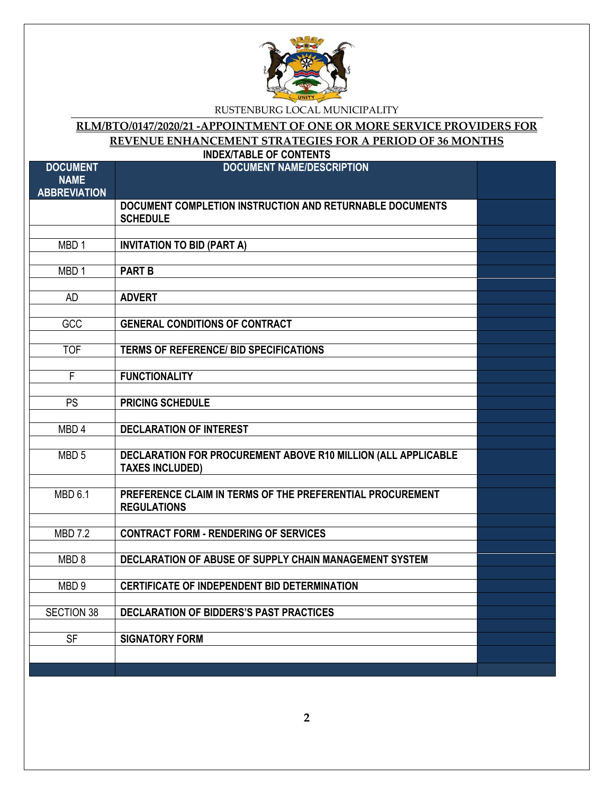

# **RLM/BTO/0147/2020/21 -APPOINTMENT OF ONE OR MORE SERVICE PROVIDERS FOR REVENUE ENHANCEMENT STRATEGIES FOR A PERIOD OF 36 MONTHS**

|                                                       | <b>INDEX/TABLE OF CONTENTS</b>                                                          |  |
|-------------------------------------------------------|-----------------------------------------------------------------------------------------|--|
| <b>DOCUMENT</b><br><b>NAME</b><br><b>ABBREVIATION</b> | <b>DOCUMENT NAME/DESCRIPTION</b>                                                        |  |
|                                                       | DOCUMENT COMPLETION INSTRUCTION AND RETURNABLE DOCUMENTS<br><b>SCHEDULE</b>             |  |
| MBD <sub>1</sub>                                      | <b>INVITATION TO BID (PART A)</b>                                                       |  |
| MBD <sub>1</sub>                                      | <b>PART B</b>                                                                           |  |
| <b>AD</b>                                             | <b>ADVERT</b>                                                                           |  |
| GCC                                                   | <b>GENERAL CONDITIONS OF CONTRACT</b>                                                   |  |
| <b>TOF</b>                                            | <b>TERMS OF REFERENCE/ BID SPECIFICATIONS</b>                                           |  |
| F                                                     | <b>FUNCTIONALITY</b>                                                                    |  |
| PS                                                    | <b>PRICING SCHEDULE</b>                                                                 |  |
| MBD <sub>4</sub>                                      | <b>DECLARATION OF INTEREST</b>                                                          |  |
| MBD <sub>5</sub>                                      | DECLARATION FOR PROCUREMENT ABOVE R10 MILLION (ALL APPLICABLE<br><b>TAXES INCLUDED)</b> |  |
| <b>MBD 6.1</b>                                        | PREFERENCE CLAIM IN TERMS OF THE PREFERENTIAL PROCUREMENT<br><b>REGULATIONS</b>         |  |
| <b>MBD 7.2</b>                                        | <b>CONTRACT FORM - RENDERING OF SERVICES</b>                                            |  |
| MBD <sub>8</sub>                                      | DECLARATION OF ABUSE OF SUPPLY CHAIN MANAGEMENT SYSTEM                                  |  |
| MBD <sub>9</sub>                                      | <b>CERTIFICATE OF INDEPENDENT BID DETERMINATION</b>                                     |  |
| <b>SECTION 38</b>                                     | DECLARATION OF BIDDERS'S PAST PRACTICES                                                 |  |
| $S$ F                                                 | <b>SIGNATORY FORM</b>                                                                   |  |
|                                                       |                                                                                         |  |

**2**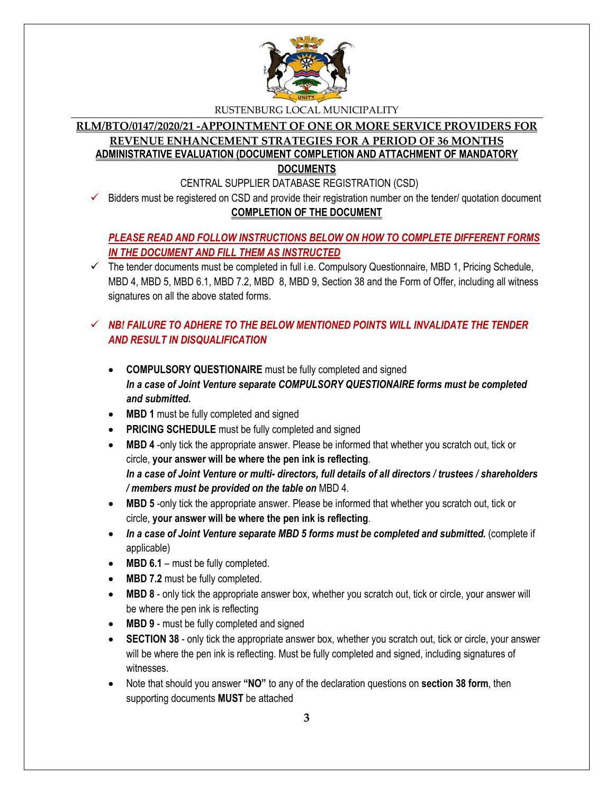

#### **RLM/BTO/0147/2020/21 -APPOINTMENT OF ONE OR MORE SERVICE PROVIDERS FOR REVENUE ENHANCEMENT STRATEGIES FOR A PERIOD OF 36 MONTHS ADMINISTRATIVE EVALUATION (DOCUMENT COMPLETION AND ATTACHMENT OF MANDATORY DOCUMENTS**

CENTRAL SUPPLIER DATABASE REGISTRATION (CSD)

 Bidders must be registered on CSD and provide their registration number on the tender/ quotation document **COMPLETION OF THE DOCUMENT**

# *PLEASE READ AND FOLLOW INSTRUCTIONS BELOW ON HOW TO COMPLETE DIFFERENT FORMS IN THE DOCUMENT AND FILL THEM AS INSTRUCTED*

 $\checkmark$  The tender documents must be completed in full i.e. Compulsory Questionnaire, MBD 1, Pricing Schedule, MBD 4, MBD 5, MBD 6.1, MBD 7.2, MBD 8, MBD 9, Section 38 and the Form of Offer, including all witness signatures on all the above stated forms.

# $\checkmark$  **NB! FAILURE TO ADHERE TO THE BELOW MENTIONED POINTS WILL INVALIDATE THE TENDER** *AND RESULT IN DISQUALIFICATION*

- **COMPULSORY QUESTIONAIRE** must be fully completed and signed *In a case of Joint Venture separate COMPULSORY QUESTIONAIRE forms must be completed and submitted.*
- MBD 1 must be fully completed and signed
- **PRICING SCHEDULE** must be fully completed and signed
- **MBD 4** -only tick the appropriate answer. Please be informed that whether you scratch out, tick or circle, **your answer will be where the pen ink is reflecting**. *In a case of Joint Venture or multi- directors, full details of all directors / trustees / shareholders / members must be provided on the table on* MBD 4.
- **MBD 5** -only tick the appropriate answer. Please be informed that whether you scratch out, tick or circle, **your answer will be where the pen ink is reflecting**.
- In a case of Joint Venture separate MBD 5 forms must be completed and submitted. (complete if applicable)
- MBD 6.1 must be fully completed.
- MBD 7.2 must be fully completed.
- **MBD 8** only tick the appropriate answer box, whether you scratch out, tick or circle, your answer will be where the pen ink is reflecting
- MBD 9 must be fully completed and signed
- **SECTION 38** only tick the appropriate answer box, whether you scratch out, tick or circle, your answer will be where the pen ink is reflecting. Must be fully completed and signed, including signatures of witnesses.
- Note that should you answer **"NO"** to any of the declaration questions on **section 38 form**, then supporting documents **MUST** be attached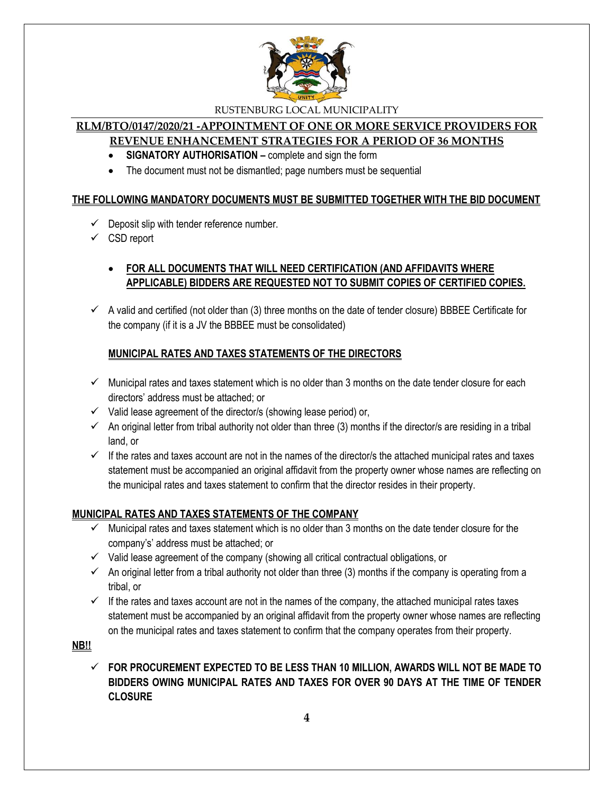

#### **RLM/BTO/0147/2020/21 -APPOINTMENT OF ONE OR MORE SERVICE PROVIDERS FOR REVENUE ENHANCEMENT STRATEGIES FOR A PERIOD OF 36 MONTHS**

- **SIGNATORY AUTHORISATION –** complete and sign the form
- The document must not be dismantled; page numbers must be sequential

#### **THE FOLLOWING MANDATORY DOCUMENTS MUST BE SUBMITTED TOGETHER WITH THE BID DOCUMENT**

- $\checkmark$  Deposit slip with tender reference number.
- $\checkmark$  CSD report

# **FOR ALL DOCUMENTS THAT WILL NEED CERTIFICATION (AND AFFIDAVITS WHERE APPLICABLE) BIDDERS ARE REQUESTED NOT TO SUBMIT COPIES OF CERTIFIED COPIES.**

 $\checkmark$  A valid and certified (not older than (3) three months on the date of tender closure) BBBEE Certificate for the company (if it is a JV the BBBEE must be consolidated)

#### **MUNICIPAL RATES AND TAXES STATEMENTS OF THE DIRECTORS**

- $\checkmark$  Municipal rates and taxes statement which is no older than 3 months on the date tender closure for each directors' address must be attached; or
- $\checkmark$  Valid lease agreement of the director/s (showing lease period) or,
- $\checkmark$  An original letter from tribal authority not older than three (3) months if the director/s are residing in a tribal land, or
- $\checkmark$  If the rates and taxes account are not in the names of the director/s the attached municipal rates and taxes statement must be accompanied an original affidavit from the property owner whose names are reflecting on the municipal rates and taxes statement to confirm that the director resides in their property.

#### **MUNICIPAL RATES AND TAXES STATEMENTS OF THE COMPANY**

- $\checkmark$  Municipal rates and taxes statement which is no older than 3 months on the date tender closure for the company's' address must be attached; or
- $\checkmark$  Valid lease agreement of the company (showing all critical contractual obligations, or
- $\checkmark$  An original letter from a tribal authority not older than three (3) months if the company is operating from a tribal, or
- $\checkmark$  If the rates and taxes account are not in the names of the company, the attached municipal rates taxes statement must be accompanied by an original affidavit from the property owner whose names are reflecting on the municipal rates and taxes statement to confirm that the company operates from their property.

**NB!!**

 **FOR PROCUREMENT EXPECTED TO BE LESS THAN 10 MILLION, AWARDS WILL NOT BE MADE TO BIDDERS OWING MUNICIPAL RATES AND TAXES FOR OVER 90 DAYS AT THE TIME OF TENDER CLOSURE**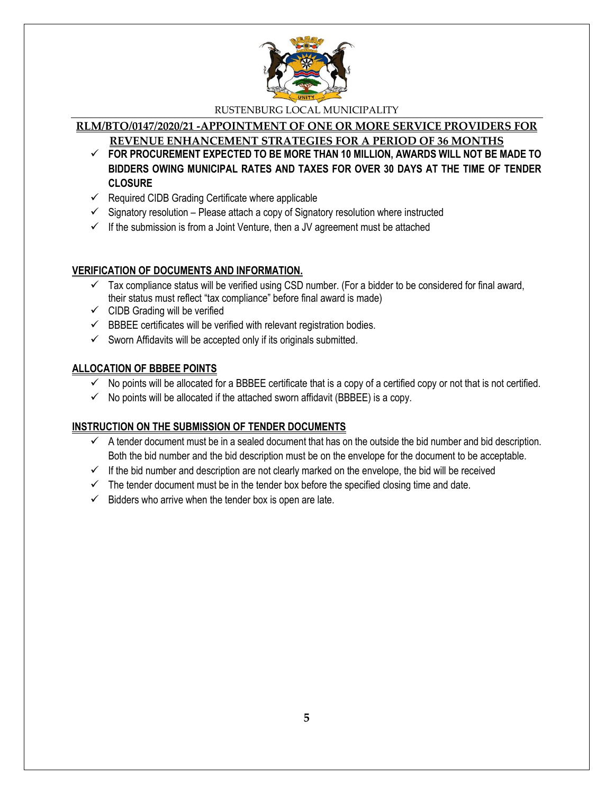

# **RLM/BTO/0147/2020/21 -APPOINTMENT OF ONE OR MORE SERVICE PROVIDERS FOR**

**REVENUE ENHANCEMENT STRATEGIES FOR A PERIOD OF 36 MONTHS**

- **FOR PROCUREMENT EXPECTED TO BE MORE THAN 10 MILLION, AWARDS WILL NOT BE MADE TO BIDDERS OWING MUNICIPAL RATES AND TAXES FOR OVER 30 DAYS AT THE TIME OF TENDER CLOSURE**
- $\checkmark$  Required CIDB Grading Certificate where applicable
- $\checkmark$  Signatory resolution Please attach a copy of Signatory resolution where instructed
- $\checkmark$  If the submission is from a Joint Venture, then a JV agreement must be attached

#### **VERIFICATION OF DOCUMENTS AND INFORMATION.**

- $\checkmark$  Tax compliance status will be verified using CSD number. (For a bidder to be considered for final award, their status must reflect "tax compliance" before final award is made)
- $\checkmark$  CIDB Grading will be verified
- $\checkmark$  BBBEE certificates will be verified with relevant registration bodies.
- $\checkmark$  Sworn Affidavits will be accepted only if its originals submitted.

### **ALLOCATION OF BBBEE POINTS**

- $\checkmark$  No points will be allocated for a BBBEE certificate that is a copy of a certified copy or not that is not certified.
- $\checkmark$  No points will be allocated if the attached sworn affidavit (BBBEE) is a copy.

### **INSTRUCTION ON THE SUBMISSION OF TENDER DOCUMENTS**

- $\checkmark$  A tender document must be in a sealed document that has on the outside the bid number and bid description. Both the bid number and the bid description must be on the envelope for the document to be acceptable.
- $\checkmark$  If the bid number and description are not clearly marked on the envelope, the bid will be received
- $\checkmark$  The tender document must be in the tender box before the specified closing time and date.
- $\checkmark$  Bidders who arrive when the tender box is open are late.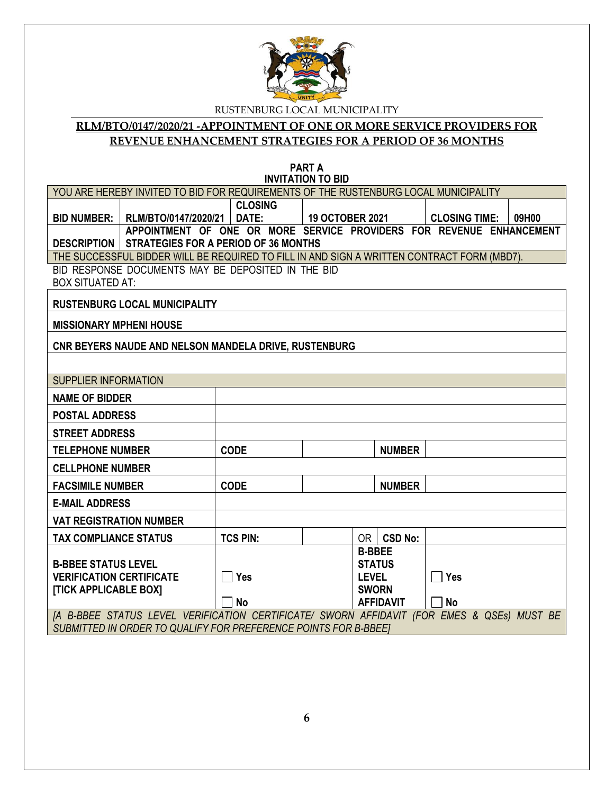

# **RLM/BTO/0147/2020/21 -APPOINTMENT OF ONE OR MORE SERVICE PROVIDERS FOR REVENUE ENHANCEMENT STRATEGIES FOR A PERIOD OF 36 MONTHS**

**PART A INVITATION TO BID**

|                                                                 |                                                                                            |                 | <b>UNVITATION TO DID</b> |               |                  |  |                      |       |
|-----------------------------------------------------------------|--------------------------------------------------------------------------------------------|-----------------|--------------------------|---------------|------------------|--|----------------------|-------|
|                                                                 | YOU ARE HEREBY INVITED TO BID FOR REQUIREMENTS OF THE RUSTENBURG LOCAL MUNICIPALITY        |                 |                          |               |                  |  |                      |       |
|                                                                 |                                                                                            | <b>CLOSING</b>  |                          |               |                  |  |                      |       |
|                                                                 | BID NUMBER:   RLM/BTO/0147/2020/21                                                         | DATE:           | 19 OCTOBER 2021          |               |                  |  | <b>CLOSING TIME:</b> | 09H00 |
|                                                                 | APPOINTMENT OF ONE OR MORE SERVICE PROVIDERS FOR REVENUE ENHANCEMENT                       |                 |                          |               |                  |  |                      |       |
|                                                                 | <b>DESCRIPTION   STRATEGIES FOR A PERIOD OF 36 MONTHS</b>                                  |                 |                          |               |                  |  |                      |       |
|                                                                 | THE SUCCESSFUL BIDDER WILL BE REQUIRED TO FILL IN AND SIGN A WRITTEN CONTRACT FORM (MBD7). |                 |                          |               |                  |  |                      |       |
|                                                                 | BID RESPONSE DOCUMENTS MAY BE DEPOSITED IN THE BID                                         |                 |                          |               |                  |  |                      |       |
| <b>BOX SITUATED AT:</b>                                         |                                                                                            |                 |                          |               |                  |  |                      |       |
|                                                                 |                                                                                            |                 |                          |               |                  |  |                      |       |
|                                                                 | <b>RUSTENBURG LOCAL MUNICIPALITY</b>                                                       |                 |                          |               |                  |  |                      |       |
| <b>MISSIONARY MPHENI HOUSE</b>                                  |                                                                                            |                 |                          |               |                  |  |                      |       |
|                                                                 |                                                                                            |                 |                          |               |                  |  |                      |       |
|                                                                 | CNR BEYERS NAUDE AND NELSON MANDELA DRIVE, RUSTENBURG                                      |                 |                          |               |                  |  |                      |       |
|                                                                 |                                                                                            |                 |                          |               |                  |  |                      |       |
| <b>SUPPLIER INFORMATION</b>                                     |                                                                                            |                 |                          |               |                  |  |                      |       |
| <b>NAME OF BIDDER</b>                                           |                                                                                            |                 |                          |               |                  |  |                      |       |
| <b>POSTAL ADDRESS</b>                                           |                                                                                            |                 |                          |               |                  |  |                      |       |
| <b>STREET ADDRESS</b>                                           |                                                                                            |                 |                          |               |                  |  |                      |       |
| <b>TELEPHONE NUMBER</b>                                         |                                                                                            | <b>CODE</b>     |                          |               | <b>NUMBER</b>    |  |                      |       |
| <b>CELLPHONE NUMBER</b>                                         |                                                                                            |                 |                          |               |                  |  |                      |       |
| <b>FACSIMILE NUMBER</b>                                         |                                                                                            | <b>CODE</b>     |                          |               | <b>NUMBER</b>    |  |                      |       |
| <b>E-MAIL ADDRESS</b>                                           |                                                                                            |                 |                          |               |                  |  |                      |       |
| <b>VAT REGISTRATION NUMBER</b>                                  |                                                                                            |                 |                          |               |                  |  |                      |       |
| <b>TAX COMPLIANCE STATUS</b>                                    |                                                                                            | <b>TCS PIN:</b> |                          |               | OR   CSD No:     |  |                      |       |
|                                                                 |                                                                                            |                 |                          | <b>B-BBEE</b> |                  |  |                      |       |
| <b>B-BBEE STATUS LEVEL</b>                                      |                                                                                            |                 |                          |               | <b>STATUS</b>    |  |                      |       |
| <b>VERIFICATION CERTIFICATE</b>                                 |                                                                                            | $\Box$ Yes      |                          | <b>LEVEL</b>  |                  |  | $\sqsupset$ Yes      |       |
| [TICK APPLICABLE BOX]                                           |                                                                                            |                 |                          | <b>SWORN</b>  |                  |  |                      |       |
|                                                                 |                                                                                            | <b>No</b>       |                          |               | <b>AFFIDAVIT</b> |  | <b>No</b>            |       |
|                                                                 | [A B-BBEE STATUS LEVEL VERIFICATION CERTIFICATE/ SWORN AFFIDAVIT (FOR EMES & QSEs) MUST BE |                 |                          |               |                  |  |                      |       |
| SUBMITTED IN ORDER TO QUALIFY FOR PREFERENCE POINTS FOR B-BBEET |                                                                                            |                 |                          |               |                  |  |                      |       |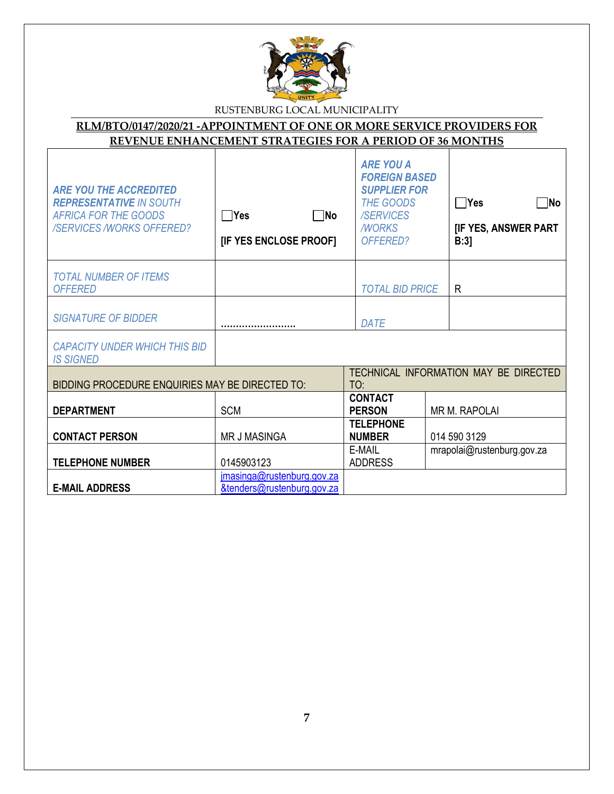

# **RLM/BTO/0147/2020/21 -APPOINTMENT OF ONE OR MORE SERVICE PROVIDERS FOR REVENUE ENHANCEMENT STRATEGIES FOR A PERIOD OF 36 MONTHS**

| <b>ARE YOU THE ACCREDITED</b><br><b>REPRESENTATIVE IN SOUTH</b><br><b>AFRICA FOR THE GOODS</b><br><b>/SERVICES /WORKS OFFERED?</b> | $\neg$ No<br>ΠYes<br>[IF YES ENCLOSE PROOF]              |     | <b>ARE YOU A</b><br><b>FOREIGN BASED</b><br><b>SUPPLIER FOR</b><br><b>THE GOODS</b><br><b>/SERVICES</b><br><b>MORKS</b><br>OFFERED? |              | $\bigcap$ Yes<br>∏No<br>[IF YES, ANSWER PART<br>B:3 |
|------------------------------------------------------------------------------------------------------------------------------------|----------------------------------------------------------|-----|-------------------------------------------------------------------------------------------------------------------------------------|--------------|-----------------------------------------------------|
| <b>TOTAL NUMBER OF ITEMS</b><br><b>OFFERED</b>                                                                                     |                                                          |     | <b>TOTAL BID PRICE</b>                                                                                                              |              | R                                                   |
| <b>SIGNATURE OF BIDDER</b>                                                                                                         |                                                          |     | DATE                                                                                                                                |              |                                                     |
| <b>CAPACITY UNDER WHICH THIS BID</b><br><b>IS SIGNED</b>                                                                           |                                                          |     |                                                                                                                                     |              |                                                     |
| BIDDING PROCEDURE ENQUIRIES MAY BE DIRECTED TO:                                                                                    |                                                          | TO: |                                                                                                                                     |              | TECHNICAL INFORMATION MAY BE DIRECTED               |
| <b>DEPARTMENT</b>                                                                                                                  | <b>SCM</b>                                               |     | <b>CONTACT</b><br><b>PERSON</b>                                                                                                     |              | <b>MR M. RAPOLAI</b>                                |
| <b>CONTACT PERSON</b>                                                                                                              | <b>MR J MASINGA</b>                                      |     | <b>TELEPHONE</b><br><b>NUMBER</b>                                                                                                   | 014 590 3129 |                                                     |
| <b>TELEPHONE NUMBER</b>                                                                                                            | 0145903123                                               |     | E-MAIL<br><b>ADDRESS</b>                                                                                                            |              | mrapolai@rustenburg.gov.za                          |
| <b>E-MAIL ADDRESS</b>                                                                                                              | jmasinga@rustenburg.gov.za<br>&tenders@rustenburg.gov.za |     |                                                                                                                                     |              |                                                     |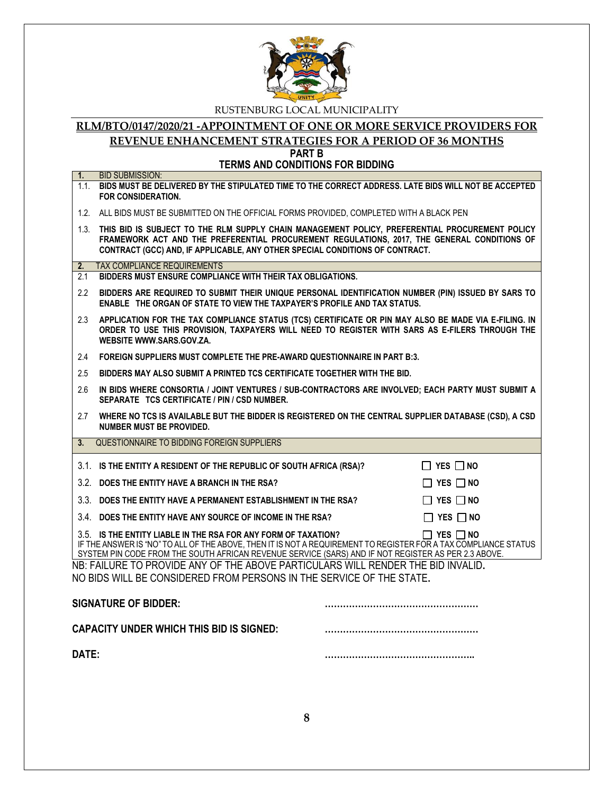

#### **RLM/BTO/0147/2020/21 -APPOINTMENT OF ONE OR MORE SERVICE PROVIDERS FOR REVENUE ENHANCEMENT STRATEGIES FOR A PERIOD OF 36 MONTHS PART B**

**TERMS AND CONDITIONS FOR BIDDING**

| 1.             | <b>BID SUBMISSION:</b>                                                                                                                                                                                                                                                                   |                      |  |
|----------------|------------------------------------------------------------------------------------------------------------------------------------------------------------------------------------------------------------------------------------------------------------------------------------------|----------------------|--|
|                | 1.1. BIDS MUST BE DELIVERED BY THE STIPULATED TIME TO THE CORRECT ADDRESS. LATE BIDS WILL NOT BE ACCEPTED<br><b>FOR CONSIDERATION.</b>                                                                                                                                                   |                      |  |
|                | 1.2. ALL BIDS MUST BE SUBMITTED ON THE OFFICIAL FORMS PROVIDED, COMPLETED WITH A BLACK PEN                                                                                                                                                                                               |                      |  |
|                | 1.3. THIS BID IS SUBJECT TO THE RLM SUPPLY CHAIN MANAGEMENT POLICY, PREFERENTIAL PROCUREMENT POLICY<br>FRAMEWORK ACT AND THE PREFERENTIAL PROCUREMENT REGULATIONS, 2017, THE GENERAL CONDITIONS OF<br>CONTRACT (GCC) AND, IF APPLICABLE, ANY OTHER SPECIAL CONDITIONS OF CONTRACT.       |                      |  |
| 2.             | <b>TAX COMPLIANCE REQUIREMENTS</b>                                                                                                                                                                                                                                                       |                      |  |
| 2.1            | BIDDERS MUST ENSURE COMPLIANCE WITH THEIR TAX OBLIGATIONS.                                                                                                                                                                                                                               |                      |  |
| $2.2^{\circ}$  | BIDDERS ARE REQUIRED TO SUBMIT THEIR UNIQUE PERSONAL IDENTIFICATION NUMBER (PIN) ISSUED BY SARS TO<br>ENABLE THE ORGAN OF STATE TO VIEW THE TAXPAYER'S PROFILE AND TAX STATUS.                                                                                                           |                      |  |
| 2.3            | APPLICATION FOR THE TAX COMPLIANCE STATUS (TCS) CERTIFICATE OR PIN MAY ALSO BE MADE VIA E-FILING. IN<br>ORDER TO USE THIS PROVISION, TAXPAYERS WILL NEED TO REGISTER WITH SARS AS E-FILERS THROUGH THE<br>WEBSITE WWW.SARS.GOV.ZA.                                                       |                      |  |
| 2.4            | FOREIGN SUPPLIERS MUST COMPLETE THE PRE-AWARD QUESTIONNAIRE IN PART B:3.                                                                                                                                                                                                                 |                      |  |
| 2.5            | BIDDERS MAY ALSO SUBMIT A PRINTED TCS CERTIFICATE TOGETHER WITH THE BID.                                                                                                                                                                                                                 |                      |  |
| 2.6            | IN BIDS WHERE CONSORTIA / JOINT VENTURES / SUB-CONTRACTORS ARE INVOLVED; EACH PARTY MUST SUBMIT A<br>SEPARATE TCS CERTIFICATE / PIN / CSD NUMBER.                                                                                                                                        |                      |  |
| 2.7            | WHERE NO TCS IS AVAILABLE BUT THE BIDDER IS REGISTERED ON THE CENTRAL SUPPLIER DATABASE (CSD), A CSD<br><b>NUMBER MUST BE PROVIDED.</b>                                                                                                                                                  |                      |  |
| 3 <sub>1</sub> | QUESTIONNAIRE TO BIDDING FOREIGN SUPPLIERS                                                                                                                                                                                                                                               |                      |  |
|                | 3.1. IS THE ENTITY A RESIDENT OF THE REPUBLIC OF SOUTH AFRICA (RSA)?                                                                                                                                                                                                                     | $\Box$ YES $\Box$ NO |  |
|                | 3.2. DOES THE ENTITY HAVE A BRANCH IN THE RSA?                                                                                                                                                                                                                                           | $\Box$ Yes $\Box$ No |  |
|                | 3.3. DOES THE ENTITY HAVE A PERMANENT ESTABLISHMENT IN THE RSA?                                                                                                                                                                                                                          | $\Box$ Yes $\Box$ No |  |
|                | 3.4. DOES THE ENTITY HAVE ANY SOURCE OF INCOME IN THE RSA?                                                                                                                                                                                                                               | $\Box$ YES $\Box$ NO |  |
|                | 3.5. IS THE ENTITY LIABLE IN THE RSA FOR ANY FORM OF TAXATION?<br>IF THE ANSWER IS "NO" TO ALL OF THE ABOVE. THEN IT IS NOT A REQUIREMENT TO REGISTER FOR A TAX COMPLIANCE STATUS<br>SYSTEM PIN CODE FROM THE SOUTH AFRICAN REVENUE SERVICE (SARS) AND IF NOT REGISTER AS PER 2.3 ABOVE. | $\Box$ YES $\Box$ NO |  |
|                | NB: FAILURE TO PROVIDE ANY OF THE ABOVE PARTICULARS WILL RENDER THE BID INVALID.<br>NO BIDS WILL BE CONSIDERED FROM PERSONS IN THE SERVICE OF THE STATE.                                                                                                                                 |                      |  |
|                | <b>SIGNATURE OF BIDDER:</b>                                                                                                                                                                                                                                                              |                      |  |
|                | <b>CAPACITY UNDER WHICH THIS BID IS SIGNED:</b>                                                                                                                                                                                                                                          |                      |  |
| DATE:          |                                                                                                                                                                                                                                                                                          |                      |  |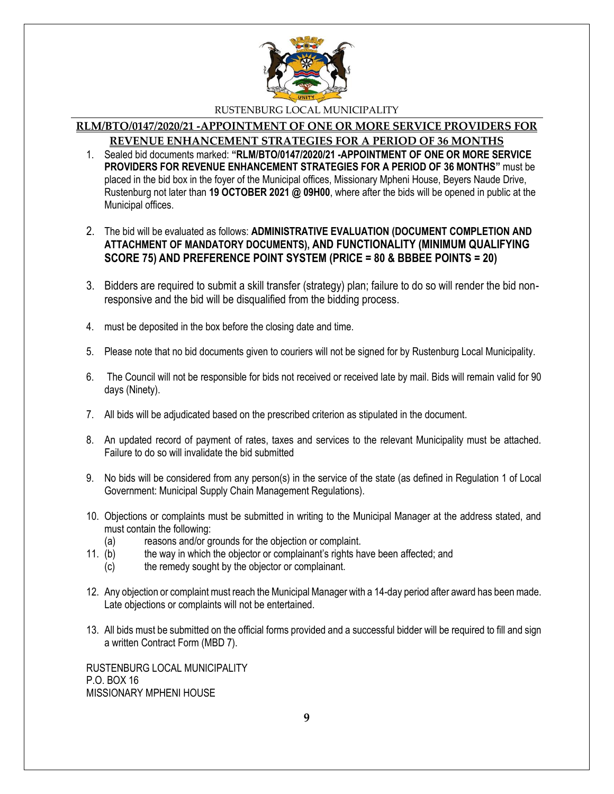

#### **RLM/BTO/0147/2020/21 -APPOINTMENT OF ONE OR MORE SERVICE PROVIDERS FOR REVENUE ENHANCEMENT STRATEGIES FOR A PERIOD OF 36 MONTHS**

- 1. Sealed bid documents marked: **"RLM/BTO/0147/2020/21 -APPOINTMENT OF ONE OR MORE SERVICE PROVIDERS FOR REVENUE ENHANCEMENT STRATEGIES FOR A PERIOD OF 36 MONTHS"** must be placed in the bid box in the foyer of the Municipal offices, Missionary Mpheni House, Beyers Naude Drive, Rustenburg not later than **19 OCTOBER 2021 @ 09H00**, where after the bids will be opened in public at the Municipal offices.
- 2. The bid will be evaluated as follows: **ADMINISTRATIVE EVALUATION (DOCUMENT COMPLETION AND ATTACHMENT OF MANDATORY DOCUMENTS), AND FUNCTIONALITY (MINIMUM QUALIFYING SCORE 75) AND PREFERENCE POINT SYSTEM (PRICE = 80 & BBBEE POINTS = 20)**
- 3. Bidders are required to submit a skill transfer (strategy) plan; failure to do so will render the bid nonresponsive and the bid will be disqualified from the bidding process.
- 4. must be deposited in the box before the closing date and time.
- 5. Please note that no bid documents given to couriers will not be signed for by Rustenburg Local Municipality.
- 6. The Council will not be responsible for bids not received or received late by mail. Bids will remain valid for 90 days (Ninety).
- 7. All bids will be adjudicated based on the prescribed criterion as stipulated in the document.
- 8. An updated record of payment of rates, taxes and services to the relevant Municipality must be attached. Failure to do so will invalidate the bid submitted
- 9. No bids will be considered from any person(s) in the service of the state (as defined in Regulation 1 of Local Government: Municipal Supply Chain Management Regulations).
- 10. Objections or complaints must be submitted in writing to the Municipal Manager at the address stated, and must contain the following:
	- (a) reasons and/or grounds for the objection or complaint.
- 11. (b) the way in which the objector or complainant's rights have been affected; and
	- (c) the remedy sought by the objector or complainant.
- 12. Any objection or complaint must reach the Municipal Manager with a 14-day period after award has been made. Late objections or complaints will not be entertained.
- 13. All bids must be submitted on the official forms provided and a successful bidder will be required to fill and sign a written Contract Form (MBD 7).

RUSTENBURG LOCAL MUNICIPALITY P.O. BOX 16 MISSIONARY MPHENI HOUSE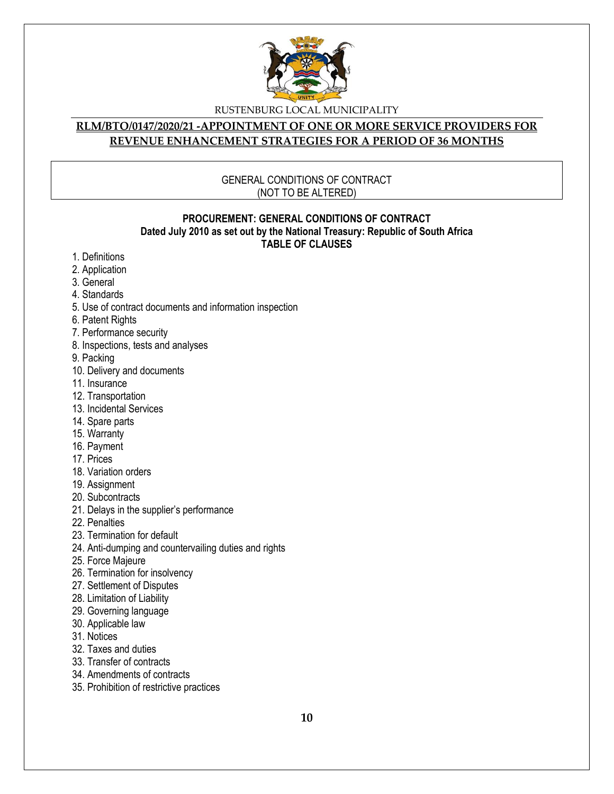

#### **RLM/BTO/0147/2020/21 -APPOINTMENT OF ONE OR MORE SERVICE PROVIDERS FOR REVENUE ENHANCEMENT STRATEGIES FOR A PERIOD OF 36 MONTHS**

#### GENERAL CONDITIONS OF CONTRACT (NOT TO BE ALTERED)

#### **PROCUREMENT: GENERAL CONDITIONS OF CONTRACT Dated July 2010 as set out by the National Treasury: Republic of South Africa TABLE OF CLAUSES**

- 1. Definitions
- 2. Application
- 3. General
- 4. Standards
- 5. Use of contract documents and information inspection
- 6. Patent Rights
- 7. Performance security
- 8. Inspections, tests and analyses
- 9. Packing
- 10. Delivery and documents
- 11. Insurance
- 12. Transportation
- 13. Incidental Services
- 14. Spare parts
- 15. Warranty
- 16. Payment
- 17. Prices
- 18. Variation orders
- 19. Assignment
- 20. Subcontracts
- 21. Delays in the supplier's performance
- 22. Penalties
- 23. Termination for default
- 24. Anti-dumping and countervailing duties and rights
- 25. Force Majeure
- 26. Termination for insolvency
- 27. Settlement of Disputes
- 28. Limitation of Liability
- 29. Governing language
- 30. Applicable law
- 31. Notices
- 32. Taxes and duties
- 33. Transfer of contracts
- 34. Amendments of contracts
- 35. Prohibition of restrictive practices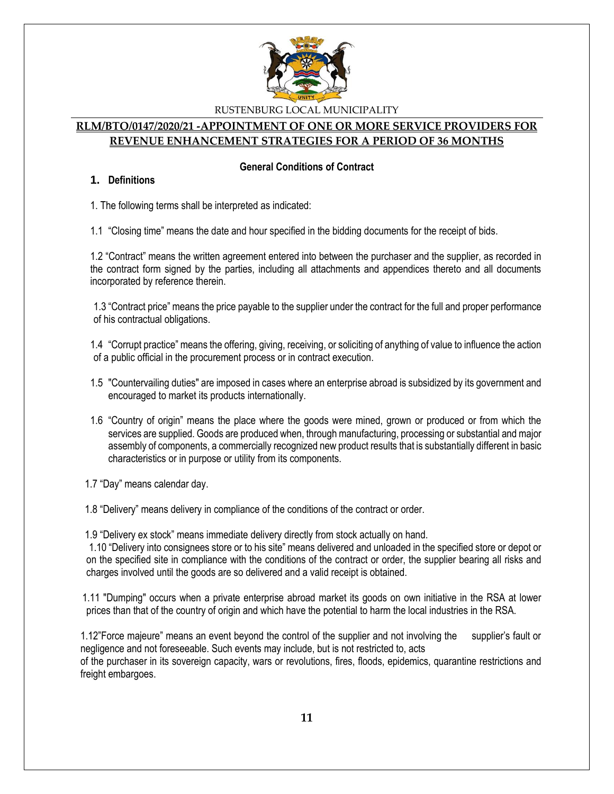

#### **RLM/BTO/0147/2020/21 -APPOINTMENT OF ONE OR MORE SERVICE PROVIDERS FOR REVENUE ENHANCEMENT STRATEGIES FOR A PERIOD OF 36 MONTHS**

#### **General Conditions of Contract**

#### **1. Definitions**

1. The following terms shall be interpreted as indicated:

1.1 "Closing time" means the date and hour specified in the bidding documents for the receipt of bids.

1.2 "Contract" means the written agreement entered into between the purchaser and the supplier, as recorded in the contract form signed by the parties, including all attachments and appendices thereto and all documents incorporated by reference therein.

1.3 "Contract price" means the price payable to the supplier under the contract for the full and proper performance of his contractual obligations.

1.4 "Corrupt practice" means the offering, giving, receiving, or soliciting of anything of value to influence the action of a public official in the procurement process or in contract execution.

- 1.5 "Countervailing duties" are imposed in cases where an enterprise abroad is subsidized by its government and encouraged to market its products internationally.
- 1.6 "Country of origin" means the place where the goods were mined, grown or produced or from which the services are supplied. Goods are produced when, through manufacturing, processing or substantial and major assembly of components, a commercially recognized new product results that is substantially different in basic characteristics or in purpose or utility from its components.

1.7 "Day" means calendar day.

1.8 "Delivery" means delivery in compliance of the conditions of the contract or order.

1.9 "Delivery ex stock" means immediate delivery directly from stock actually on hand.

1.10 "Delivery into consignees store or to his site" means delivered and unloaded in the specified store or depot or on the specified site in compliance with the conditions of the contract or order, the supplier bearing all risks and charges involved until the goods are so delivered and a valid receipt is obtained.

 1.11 "Dumping" occurs when a private enterprise abroad market its goods on own initiative in the RSA at lower prices than that of the country of origin and which have the potential to harm the local industries in the RSA.

1.12"Force majeure" means an event beyond the control of the supplier and not involving the supplier's fault or negligence and not foreseeable. Such events may include, but is not restricted to, acts of the purchaser in its sovereign capacity, wars or revolutions, fires, floods, epidemics, quarantine restrictions and freight embargoes.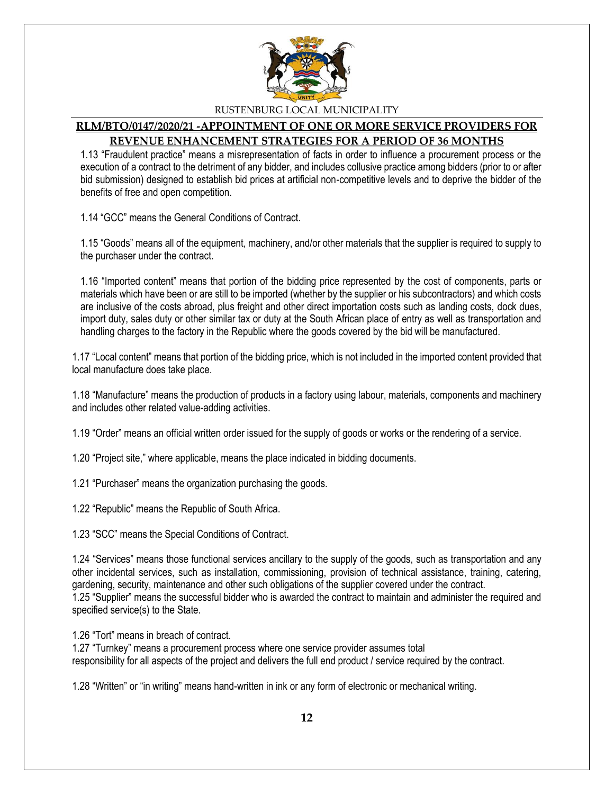

#### **RLM/BTO/0147/2020/21 -APPOINTMENT OF ONE OR MORE SERVICE PROVIDERS FOR REVENUE ENHANCEMENT STRATEGIES FOR A PERIOD OF 36 MONTHS**

1.13 "Fraudulent practice" means a misrepresentation of facts in order to influence a procurement process or the execution of a contract to the detriment of any bidder, and includes collusive practice among bidders (prior to or after bid submission) designed to establish bid prices at artificial non-competitive levels and to deprive the bidder of the benefits of free and open competition.

1.14 "GCC" means the General Conditions of Contract.

1.15 "Goods" means all of the equipment, machinery, and/or other materials that the supplier is required to supply to the purchaser under the contract.

1.16 "Imported content" means that portion of the bidding price represented by the cost of components, parts or materials which have been or are still to be imported (whether by the supplier or his subcontractors) and which costs are inclusive of the costs abroad, plus freight and other direct importation costs such as landing costs, dock dues, import duty, sales duty or other similar tax or duty at the South African place of entry as well as transportation and handling charges to the factory in the Republic where the goods covered by the bid will be manufactured.

1.17 "Local content" means that portion of the bidding price, which is not included in the imported content provided that local manufacture does take place.

1.18 "Manufacture" means the production of products in a factory using labour, materials, components and machinery and includes other related value-adding activities.

1.19 "Order" means an official written order issued for the supply of goods or works or the rendering of a service.

1.20 "Project site," where applicable, means the place indicated in bidding documents.

1.21 "Purchaser" means the organization purchasing the goods.

1.22 "Republic" means the Republic of South Africa.

1.23 "SCC" means the Special Conditions of Contract.

1.24 "Services" means those functional services ancillary to the supply of the goods, such as transportation and any other incidental services, such as installation, commissioning, provision of technical assistance, training, catering, gardening, security, maintenance and other such obligations of the supplier covered under the contract. 1.25 "Supplier" means the successful bidder who is awarded the contract to maintain and administer the required and specified service(s) to the State.

1.26 "Tort" means in breach of contract.

1.27 "Turnkey" means a procurement process where one service provider assumes total responsibility for all aspects of the project and delivers the full end product / service required by the contract.

1.28 "Written" or "in writing" means hand-written in ink or any form of electronic or mechanical writing.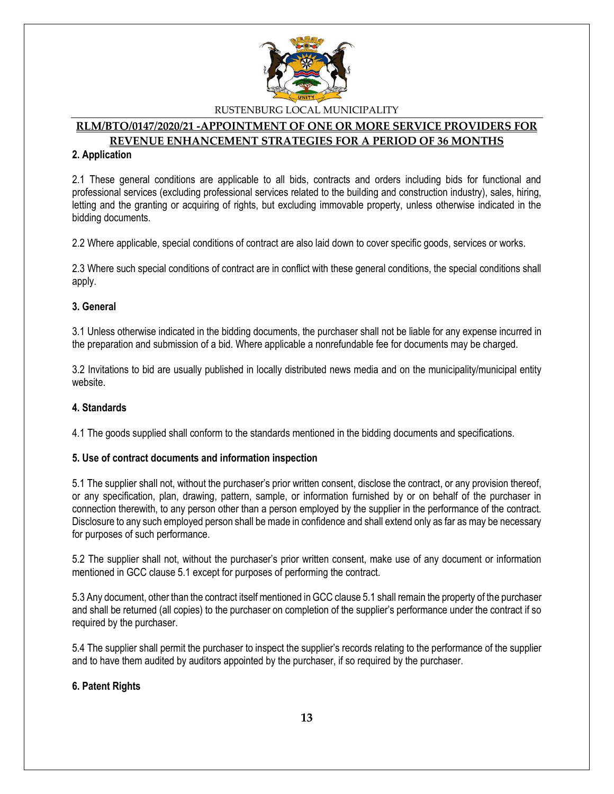

#### **RLM/BTO/0147/2020/21 -APPOINTMENT OF ONE OR MORE SERVICE PROVIDERS FOR REVENUE ENHANCEMENT STRATEGIES FOR A PERIOD OF 36 MONTHS**

#### **2. Application**

2.1 These general conditions are applicable to all bids, contracts and orders including bids for functional and professional services (excluding professional services related to the building and construction industry), sales, hiring, letting and the granting or acquiring of rights, but excluding immovable property, unless otherwise indicated in the bidding documents.

2.2 Where applicable, special conditions of contract are also laid down to cover specific goods, services or works.

2.3 Where such special conditions of contract are in conflict with these general conditions, the special conditions shall apply.

#### **3. General**

3.1 Unless otherwise indicated in the bidding documents, the purchaser shall not be liable for any expense incurred in the preparation and submission of a bid. Where applicable a nonrefundable fee for documents may be charged.

3.2 Invitations to bid are usually published in locally distributed news media and on the municipality/municipal entity website.

#### **4. Standards**

4.1 The goods supplied shall conform to the standards mentioned in the bidding documents and specifications.

#### **5. Use of contract documents and information inspection**

5.1 The supplier shall not, without the purchaser's prior written consent, disclose the contract, or any provision thereof, or any specification, plan, drawing, pattern, sample, or information furnished by or on behalf of the purchaser in connection therewith, to any person other than a person employed by the supplier in the performance of the contract. Disclosure to any such employed person shall be made in confidence and shall extend only as far as may be necessary for purposes of such performance.

5.2 The supplier shall not, without the purchaser's prior written consent, make use of any document or information mentioned in GCC clause 5.1 except for purposes of performing the contract.

5.3 Any document, other than the contract itself mentioned in GCC clause 5.1 shall remain the property of the purchaser and shall be returned (all copies) to the purchaser on completion of the supplier's performance under the contract if so required by the purchaser.

5.4 The supplier shall permit the purchaser to inspect the supplier's records relating to the performance of the supplier and to have them audited by auditors appointed by the purchaser, if so required by the purchaser.

#### **6. Patent Rights**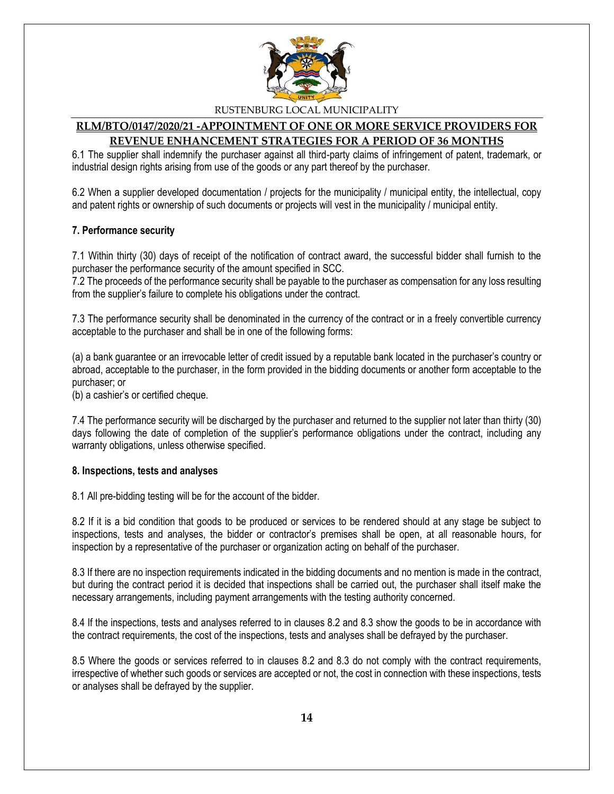

#### **RLM/BTO/0147/2020/21 -APPOINTMENT OF ONE OR MORE SERVICE PROVIDERS FOR REVENUE ENHANCEMENT STRATEGIES FOR A PERIOD OF 36 MONTHS**

6.1 The supplier shall indemnify the purchaser against all third-party claims of infringement of patent, trademark, or industrial design rights arising from use of the goods or any part thereof by the purchaser.

6.2 When a supplier developed documentation / projects for the municipality / municipal entity, the intellectual, copy and patent rights or ownership of such documents or projects will vest in the municipality / municipal entity.

#### **7. Performance security**

7.1 Within thirty (30) days of receipt of the notification of contract award, the successful bidder shall furnish to the purchaser the performance security of the amount specified in SCC.

7.2 The proceeds of the performance security shall be payable to the purchaser as compensation for any loss resulting from the supplier's failure to complete his obligations under the contract.

7.3 The performance security shall be denominated in the currency of the contract or in a freely convertible currency acceptable to the purchaser and shall be in one of the following forms:

(a) a bank guarantee or an irrevocable letter of credit issued by a reputable bank located in the purchaser's country or abroad, acceptable to the purchaser, in the form provided in the bidding documents or another form acceptable to the purchaser; or

(b) a cashier's or certified cheque.

7.4 The performance security will be discharged by the purchaser and returned to the supplier not later than thirty (30) days following the date of completion of the supplier's performance obligations under the contract, including any warranty obligations, unless otherwise specified.

#### **8. Inspections, tests and analyses**

8.1 All pre-bidding testing will be for the account of the bidder.

8.2 If it is a bid condition that goods to be produced or services to be rendered should at any stage be subject to inspections, tests and analyses, the bidder or contractor's premises shall be open, at all reasonable hours, for inspection by a representative of the purchaser or organization acting on behalf of the purchaser.

8.3 If there are no inspection requirements indicated in the bidding documents and no mention is made in the contract, but during the contract period it is decided that inspections shall be carried out, the purchaser shall itself make the necessary arrangements, including payment arrangements with the testing authority concerned.

8.4 If the inspections, tests and analyses referred to in clauses 8.2 and 8.3 show the goods to be in accordance with the contract requirements, the cost of the inspections, tests and analyses shall be defrayed by the purchaser.

8.5 Where the goods or services referred to in clauses 8.2 and 8.3 do not comply with the contract requirements, irrespective of whether such goods or services are accepted or not, the cost in connection with these inspections, tests or analyses shall be defrayed by the supplier.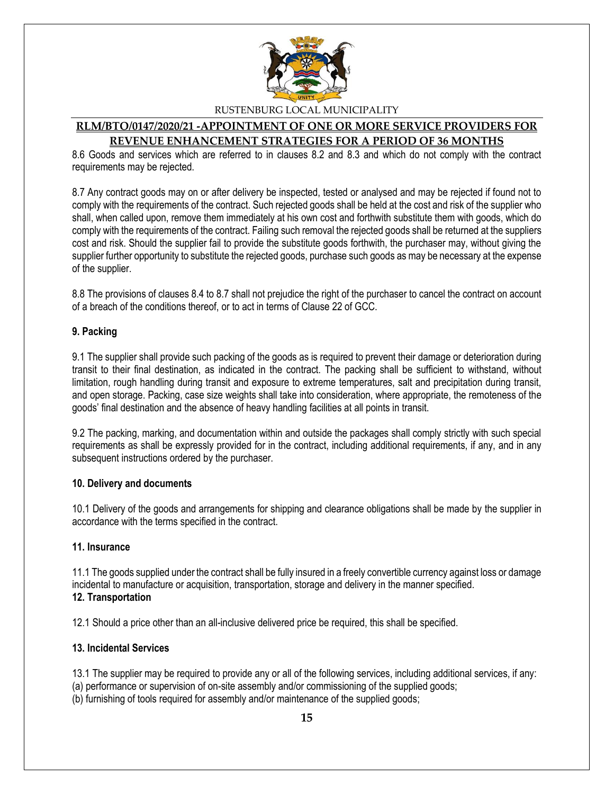

#### **RLM/BTO/0147/2020/21 -APPOINTMENT OF ONE OR MORE SERVICE PROVIDERS FOR REVENUE ENHANCEMENT STRATEGIES FOR A PERIOD OF 36 MONTHS**

8.6 Goods and services which are referred to in clauses 8.2 and 8.3 and which do not comply with the contract requirements may be rejected.

8.7 Any contract goods may on or after delivery be inspected, tested or analysed and may be rejected if found not to comply with the requirements of the contract. Such rejected goods shall be held at the cost and risk of the supplier who shall, when called upon, remove them immediately at his own cost and forthwith substitute them with goods, which do comply with the requirements of the contract. Failing such removal the rejected goods shall be returned at the suppliers cost and risk. Should the supplier fail to provide the substitute goods forthwith, the purchaser may, without giving the supplier further opportunity to substitute the rejected goods, purchase such goods as may be necessary at the expense of the supplier.

8.8 The provisions of clauses 8.4 to 8.7 shall not prejudice the right of the purchaser to cancel the contract on account of a breach of the conditions thereof, or to act in terms of Clause 22 of GCC.

#### **9. Packing**

9.1 The supplier shall provide such packing of the goods as is required to prevent their damage or deterioration during transit to their final destination, as indicated in the contract. The packing shall be sufficient to withstand, without limitation, rough handling during transit and exposure to extreme temperatures, salt and precipitation during transit, and open storage. Packing, case size weights shall take into consideration, where appropriate, the remoteness of the goods' final destination and the absence of heavy handling facilities at all points in transit.

9.2 The packing, marking, and documentation within and outside the packages shall comply strictly with such special requirements as shall be expressly provided for in the contract, including additional requirements, if any, and in any subsequent instructions ordered by the purchaser.

#### **10. Delivery and documents**

10.1 Delivery of the goods and arrangements for shipping and clearance obligations shall be made by the supplier in accordance with the terms specified in the contract.

#### **11. Insurance**

11.1 The goods supplied under the contract shall be fully insured in a freely convertible currency against loss or damage incidental to manufacture or acquisition, transportation, storage and delivery in the manner specified. **12. Transportation**

12.1 Should a price other than an all-inclusive delivered price be required, this shall be specified.

#### **13. Incidental Services**

13.1 The supplier may be required to provide any or all of the following services, including additional services, if any:

- (a) performance or supervision of on-site assembly and/or commissioning of the supplied goods;
- (b) furnishing of tools required for assembly and/or maintenance of the supplied goods;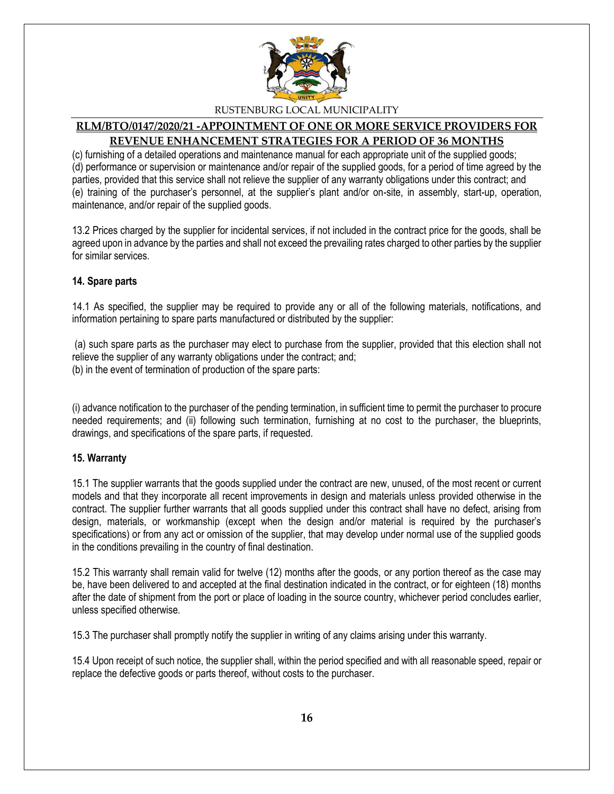

# **RLM/BTO/0147/2020/21 -APPOINTMENT OF ONE OR MORE SERVICE PROVIDERS FOR REVENUE ENHANCEMENT STRATEGIES FOR A PERIOD OF 36 MONTHS**

(c) furnishing of a detailed operations and maintenance manual for each appropriate unit of the supplied goods; (d) performance or supervision or maintenance and/or repair of the supplied goods, for a period of time agreed by the parties, provided that this service shall not relieve the supplier of any warranty obligations under this contract; and (e) training of the purchaser's personnel, at the supplier's plant and/or on-site, in assembly, start-up, operation, maintenance, and/or repair of the supplied goods.

13.2 Prices charged by the supplier for incidental services, if not included in the contract price for the goods, shall be agreed upon in advance by the parties and shall not exceed the prevailing rates charged to other parties by the supplier for similar services.

#### **14. Spare parts**

14.1 As specified, the supplier may be required to provide any or all of the following materials, notifications, and information pertaining to spare parts manufactured or distributed by the supplier:

(a) such spare parts as the purchaser may elect to purchase from the supplier, provided that this election shall not relieve the supplier of any warranty obligations under the contract; and; (b) in the event of termination of production of the spare parts:

(i) advance notification to the purchaser of the pending termination, in sufficient time to permit the purchaser to procure needed requirements; and (ii) following such termination, furnishing at no cost to the purchaser, the blueprints, drawings, and specifications of the spare parts, if requested.

#### **15. Warranty**

15.1 The supplier warrants that the goods supplied under the contract are new, unused, of the most recent or current models and that they incorporate all recent improvements in design and materials unless provided otherwise in the contract. The supplier further warrants that all goods supplied under this contract shall have no defect, arising from design, materials, or workmanship (except when the design and/or material is required by the purchaser's specifications) or from any act or omission of the supplier, that may develop under normal use of the supplied goods in the conditions prevailing in the country of final destination.

15.2 This warranty shall remain valid for twelve (12) months after the goods, or any portion thereof as the case may be, have been delivered to and accepted at the final destination indicated in the contract, or for eighteen (18) months after the date of shipment from the port or place of loading in the source country, whichever period concludes earlier, unless specified otherwise.

15.3 The purchaser shall promptly notify the supplier in writing of any claims arising under this warranty.

15.4 Upon receipt of such notice, the supplier shall, within the period specified and with all reasonable speed, repair or replace the defective goods or parts thereof, without costs to the purchaser.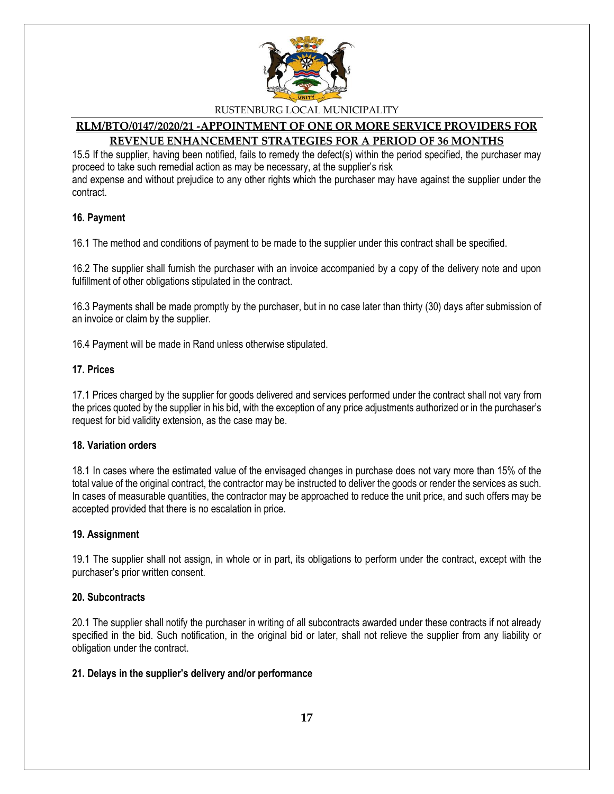

#### **RLM/BTO/0147/2020/21 -APPOINTMENT OF ONE OR MORE SERVICE PROVIDERS FOR REVENUE ENHANCEMENT STRATEGIES FOR A PERIOD OF 36 MONTHS**

15.5 If the supplier, having been notified, fails to remedy the defect(s) within the period specified, the purchaser may proceed to take such remedial action as may be necessary, at the supplier's risk and expense and without prejudice to any other rights which the purchaser may have against the supplier under the contract.

#### **16. Payment**

16.1 The method and conditions of payment to be made to the supplier under this contract shall be specified.

16.2 The supplier shall furnish the purchaser with an invoice accompanied by a copy of the delivery note and upon fulfillment of other obligations stipulated in the contract.

16.3 Payments shall be made promptly by the purchaser, but in no case later than thirty (30) days after submission of an invoice or claim by the supplier.

16.4 Payment will be made in Rand unless otherwise stipulated.

#### **17. Prices**

17.1 Prices charged by the supplier for goods delivered and services performed under the contract shall not vary from the prices quoted by the supplier in his bid, with the exception of any price adjustments authorized or in the purchaser's request for bid validity extension, as the case may be.

#### **18. Variation orders**

18.1 In cases where the estimated value of the envisaged changes in purchase does not vary more than 15% of the total value of the original contract, the contractor may be instructed to deliver the goods or render the services as such. In cases of measurable quantities, the contractor may be approached to reduce the unit price, and such offers may be accepted provided that there is no escalation in price.

#### **19. Assignment**

19.1 The supplier shall not assign, in whole or in part, its obligations to perform under the contract, except with the purchaser's prior written consent.

#### **20. Subcontracts**

20.1 The supplier shall notify the purchaser in writing of all subcontracts awarded under these contracts if not already specified in the bid. Such notification, in the original bid or later, shall not relieve the supplier from any liability or obligation under the contract.

#### **21. Delays in the supplier's delivery and/or performance**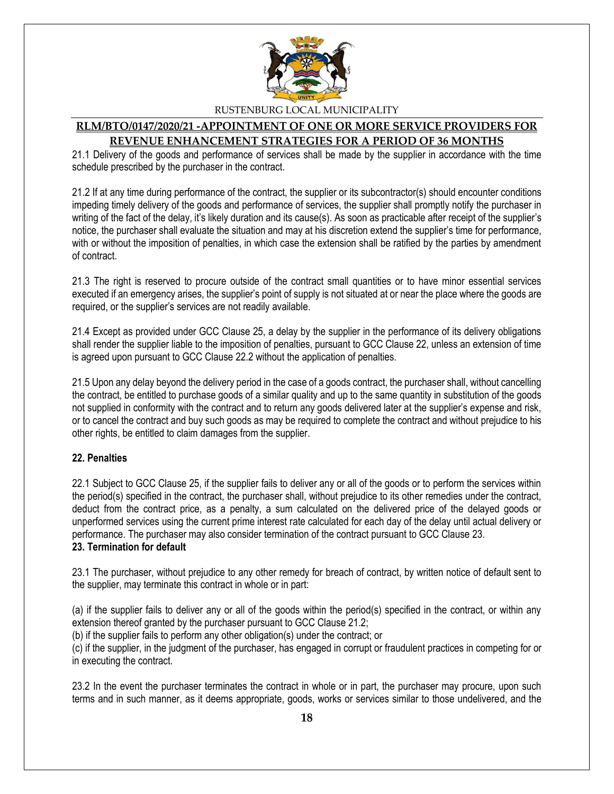

#### **RLM/BTO/0147/2020/21 -APPOINTMENT OF ONE OR MORE SERVICE PROVIDERS FOR REVENUE ENHANCEMENT STRATEGIES FOR A PERIOD OF 36 MONTHS**

21.1 Delivery of the goods and performance of services shall be made by the supplier in accordance with the time schedule prescribed by the purchaser in the contract.

21.2 If at any time during performance of the contract, the supplier or its subcontractor(s) should encounter conditions impeding timely delivery of the goods and performance of services, the supplier shall promptly notify the purchaser in writing of the fact of the delay, it's likely duration and its cause(s). As soon as practicable after receipt of the supplier's notice, the purchaser shall evaluate the situation and may at his discretion extend the supplier's time for performance, with or without the imposition of penalties, in which case the extension shall be ratified by the parties by amendment of contract.

21.3 The right is reserved to procure outside of the contract small quantities or to have minor essential services executed if an emergency arises, the supplier's point of supply is not situated at or near the place where the goods are required, or the supplier's services are not readily available.

21.4 Except as provided under GCC Clause 25, a delay by the supplier in the performance of its delivery obligations shall render the supplier liable to the imposition of penalties, pursuant to GCC Clause 22, unless an extension of time is agreed upon pursuant to GCC Clause 22.2 without the application of penalties.

21.5 Upon any delay beyond the delivery period in the case of a goods contract, the purchaser shall, without cancelling the contract, be entitled to purchase goods of a similar quality and up to the same quantity in substitution of the goods not supplied in conformity with the contract and to return any goods delivered later at the supplier's expense and risk, or to cancel the contract and buy such goods as may be required to complete the contract and without prejudice to his other rights, be entitled to claim damages from the supplier.

#### **22. Penalties**

22.1 Subject to GCC Clause 25, if the supplier fails to deliver any or all of the goods or to perform the services within the period(s) specified in the contract, the purchaser shall, without prejudice to its other remedies under the contract, deduct from the contract price, as a penalty, a sum calculated on the delivered price of the delayed goods or unperformed services using the current prime interest rate calculated for each day of the delay until actual delivery or performance. The purchaser may also consider termination of the contract pursuant to GCC Clause 23. **23. Termination for default**

23.1 The purchaser, without prejudice to any other remedy for breach of contract, by written notice of default sent to the supplier, may terminate this contract in whole or in part:

(a) if the supplier fails to deliver any or all of the goods within the period(s) specified in the contract, or within any extension thereof granted by the purchaser pursuant to GCC Clause 21.2;

(b) if the supplier fails to perform any other obligation(s) under the contract; or

(c) if the supplier, in the judgment of the purchaser, has engaged in corrupt or fraudulent practices in competing for or in executing the contract.

23.2 In the event the purchaser terminates the contract in whole or in part, the purchaser may procure, upon such terms and in such manner, as it deems appropriate, goods, works or services similar to those undelivered, and the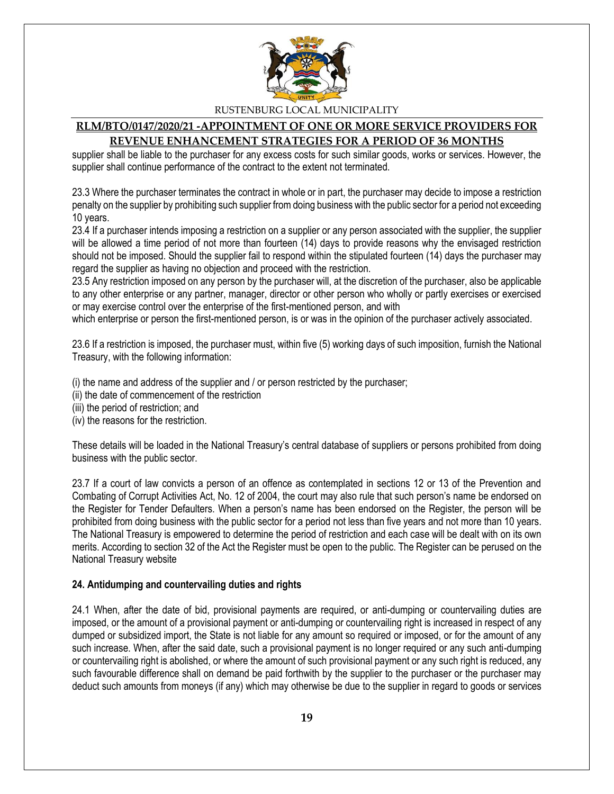

#### **RLM/BTO/0147/2020/21 -APPOINTMENT OF ONE OR MORE SERVICE PROVIDERS FOR REVENUE ENHANCEMENT STRATEGIES FOR A PERIOD OF 36 MONTHS**

supplier shall be liable to the purchaser for any excess costs for such similar goods, works or services. However, the supplier shall continue performance of the contract to the extent not terminated.

23.3 Where the purchaser terminates the contract in whole or in part, the purchaser may decide to impose a restriction penalty on the supplier by prohibiting such supplier from doing business with the public sector for a period not exceeding 10 years.

23.4 If a purchaser intends imposing a restriction on a supplier or any person associated with the supplier, the supplier will be allowed a time period of not more than fourteen (14) days to provide reasons why the envisaged restriction should not be imposed. Should the supplier fail to respond within the stipulated fourteen (14) days the purchaser may regard the supplier as having no objection and proceed with the restriction.

23.5 Any restriction imposed on any person by the purchaser will, at the discretion of the purchaser, also be applicable to any other enterprise or any partner, manager, director or other person who wholly or partly exercises or exercised or may exercise control over the enterprise of the first-mentioned person, and with

which enterprise or person the first-mentioned person, is or was in the opinion of the purchaser actively associated.

23.6 If a restriction is imposed, the purchaser must, within five (5) working days of such imposition, furnish the National Treasury, with the following information:

(i) the name and address of the supplier and / or person restricted by the purchaser;

(ii) the date of commencement of the restriction

(iii) the period of restriction; and

(iv) the reasons for the restriction.

These details will be loaded in the National Treasury's central database of suppliers or persons prohibited from doing business with the public sector.

23.7 If a court of law convicts a person of an offence as contemplated in sections 12 or 13 of the Prevention and Combating of Corrupt Activities Act, No. 12 of 2004, the court may also rule that such person's name be endorsed on the Register for Tender Defaulters. When a person's name has been endorsed on the Register, the person will be prohibited from doing business with the public sector for a period not less than five years and not more than 10 years. The National Treasury is empowered to determine the period of restriction and each case will be dealt with on its own merits. According to section 32 of the Act the Register must be open to the public. The Register can be perused on the National Treasury website

#### **24. Antidumping and countervailing duties and rights**

24.1 When, after the date of bid, provisional payments are required, or anti-dumping or countervailing duties are imposed, or the amount of a provisional payment or anti-dumping or countervailing right is increased in respect of any dumped or subsidized import, the State is not liable for any amount so required or imposed, or for the amount of any such increase. When, after the said date, such a provisional payment is no longer required or any such anti-dumping or countervailing right is abolished, or where the amount of such provisional payment or any such right is reduced, any such favourable difference shall on demand be paid forthwith by the supplier to the purchaser or the purchaser may deduct such amounts from moneys (if any) which may otherwise be due to the supplier in regard to goods or services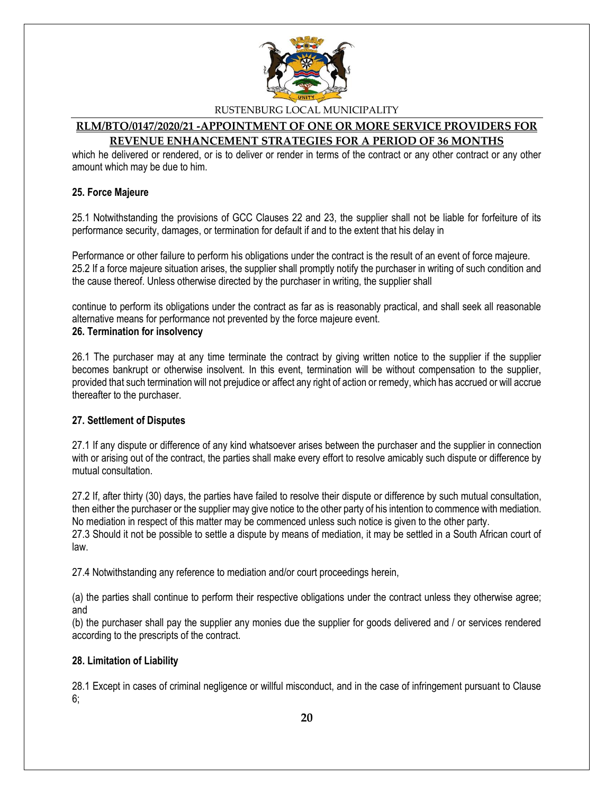

#### **RLM/BTO/0147/2020/21 -APPOINTMENT OF ONE OR MORE SERVICE PROVIDERS FOR REVENUE ENHANCEMENT STRATEGIES FOR A PERIOD OF 36 MONTHS**

which he delivered or rendered, or is to deliver or render in terms of the contract or any other contract or any other amount which may be due to him.

#### **25. Force Majeure**

25.1 Notwithstanding the provisions of GCC Clauses 22 and 23, the supplier shall not be liable for forfeiture of its performance security, damages, or termination for default if and to the extent that his delay in

Performance or other failure to perform his obligations under the contract is the result of an event of force majeure. 25.2 If a force majeure situation arises, the supplier shall promptly notify the purchaser in writing of such condition and the cause thereof. Unless otherwise directed by the purchaser in writing, the supplier shall

continue to perform its obligations under the contract as far as is reasonably practical, and shall seek all reasonable alternative means for performance not prevented by the force majeure event. **26. Termination for insolvency**

26.1 The purchaser may at any time terminate the contract by giving written notice to the supplier if the supplier becomes bankrupt or otherwise insolvent. In this event, termination will be without compensation to the supplier, provided that such termination will not prejudice or affect any right of action or remedy, which has accrued or will accrue thereafter to the purchaser.

#### **27. Settlement of Disputes**

27.1 If any dispute or difference of any kind whatsoever arises between the purchaser and the supplier in connection with or arising out of the contract, the parties shall make every effort to resolve amicably such dispute or difference by mutual consultation.

27.2 If, after thirty (30) days, the parties have failed to resolve their dispute or difference by such mutual consultation, then either the purchaser or the supplier may give notice to the other party of his intention to commence with mediation. No mediation in respect of this matter may be commenced unless such notice is given to the other party. 27.3 Should it not be possible to settle a dispute by means of mediation, it may be settled in a South African court of law.

27.4 Notwithstanding any reference to mediation and/or court proceedings herein,

(a) the parties shall continue to perform their respective obligations under the contract unless they otherwise agree; and

(b) the purchaser shall pay the supplier any monies due the supplier for goods delivered and / or services rendered according to the prescripts of the contract.

#### **28. Limitation of Liability**

28.1 Except in cases of criminal negligence or willful misconduct, and in the case of infringement pursuant to Clause 6;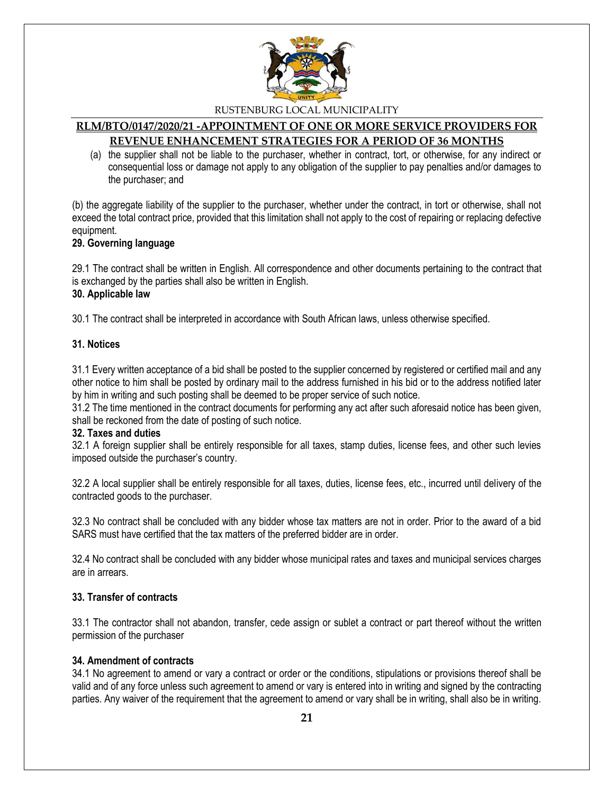

#### **RLM/BTO/0147/2020/21 -APPOINTMENT OF ONE OR MORE SERVICE PROVIDERS FOR REVENUE ENHANCEMENT STRATEGIES FOR A PERIOD OF 36 MONTHS**

(a) the supplier shall not be liable to the purchaser, whether in contract, tort, or otherwise, for any indirect or consequential loss or damage not apply to any obligation of the supplier to pay penalties and/or damages to the purchaser; and

(b) the aggregate liability of the supplier to the purchaser, whether under the contract, in tort or otherwise, shall not exceed the total contract price, provided that this limitation shall not apply to the cost of repairing or replacing defective equipment.

#### **29. Governing language**

29.1 The contract shall be written in English. All correspondence and other documents pertaining to the contract that is exchanged by the parties shall also be written in English.

#### **30. Applicable law**

30.1 The contract shall be interpreted in accordance with South African laws, unless otherwise specified.

#### **31. Notices**

31.1 Every written acceptance of a bid shall be posted to the supplier concerned by registered or certified mail and any other notice to him shall be posted by ordinary mail to the address furnished in his bid or to the address notified later by him in writing and such posting shall be deemed to be proper service of such notice.

31.2 The time mentioned in the contract documents for performing any act after such aforesaid notice has been given, shall be reckoned from the date of posting of such notice.

#### **32. Taxes and duties**

32.1 A foreign supplier shall be entirely responsible for all taxes, stamp duties, license fees, and other such levies imposed outside the purchaser's country.

32.2 A local supplier shall be entirely responsible for all taxes, duties, license fees, etc., incurred until delivery of the contracted goods to the purchaser.

32.3 No contract shall be concluded with any bidder whose tax matters are not in order. Prior to the award of a bid SARS must have certified that the tax matters of the preferred bidder are in order.

32.4 No contract shall be concluded with any bidder whose municipal rates and taxes and municipal services charges are in arrears.

#### **33. Transfer of contracts**

33.1 The contractor shall not abandon, transfer, cede assign or sublet a contract or part thereof without the written permission of the purchaser

#### **34. Amendment of contracts**

34.1 No agreement to amend or vary a contract or order or the conditions, stipulations or provisions thereof shall be valid and of any force unless such agreement to amend or vary is entered into in writing and signed by the contracting parties. Any waiver of the requirement that the agreement to amend or vary shall be in writing, shall also be in writing.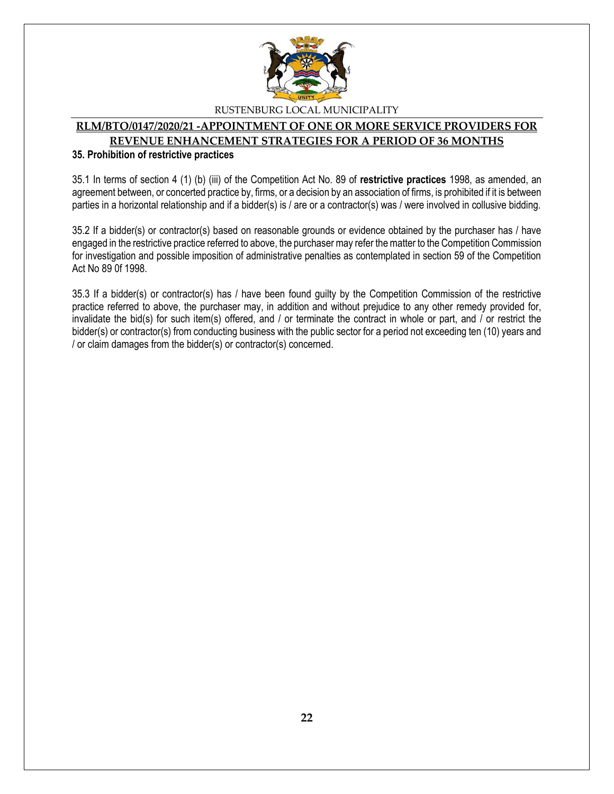

#### **RLM/BTO/0147/2020/21 -APPOINTMENT OF ONE OR MORE SERVICE PROVIDERS FOR REVENUE ENHANCEMENT STRATEGIES FOR A PERIOD OF 36 MONTHS**

#### **35. Prohibition of restrictive practices**

35.1 In terms of section 4 (1) (b) (iii) of the Competition Act No. 89 of **restrictive practices** 1998, as amended, an agreement between, or concerted practice by, firms, or a decision by an association of firms, is prohibited if it is between parties in a horizontal relationship and if a bidder(s) is / are or a contractor(s) was / were involved in collusive bidding.

35.2 If a bidder(s) or contractor(s) based on reasonable grounds or evidence obtained by the purchaser has / have engaged in the restrictive practice referred to above, the purchaser may refer the matter to the Competition Commission for investigation and possible imposition of administrative penalties as contemplated in section 59 of the Competition Act No 89 0f 1998.

35.3 If a bidder(s) or contractor(s) has / have been found guilty by the Competition Commission of the restrictive practice referred to above, the purchaser may, in addition and without prejudice to any other remedy provided for, invalidate the bid(s) for such item(s) offered, and / or terminate the contract in whole or part, and / or restrict the bidder(s) or contractor(s) from conducting business with the public sector for a period not exceeding ten (10) years and / or claim damages from the bidder(s) or contractor(s) concerned.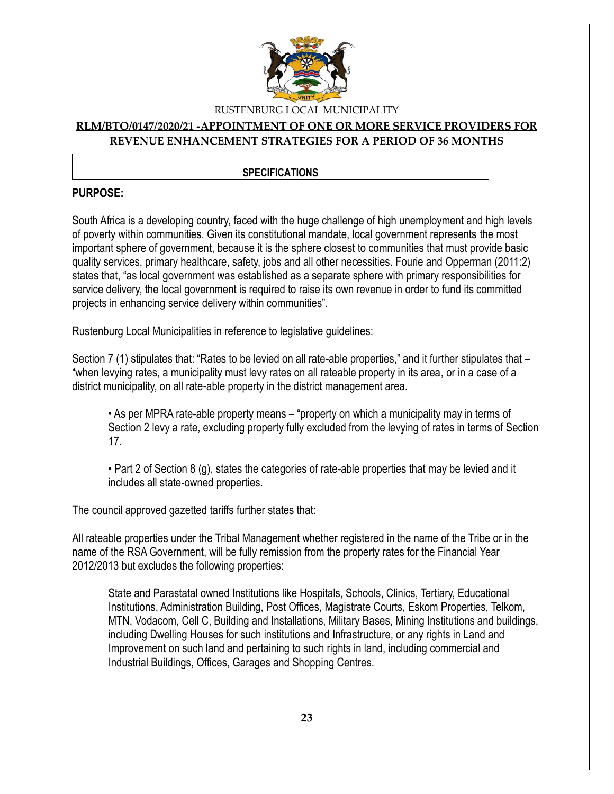

#### **RLM/BTO/0147/2020/21 -APPOINTMENT OF ONE OR MORE SERVICE PROVIDERS FOR REVENUE ENHANCEMENT STRATEGIES FOR A PERIOD OF 36 MONTHS**

#### **SPECIFICATIONS**

#### **PURPOSE:**

South Africa is a developing country, faced with the huge challenge of high unemployment and high levels of poverty within communities. Given its constitutional mandate, local government represents the most important sphere of government, because it is the sphere closest to communities that must provide basic quality services, primary healthcare, safety, jobs and all other necessities. Fourie and Opperman (2011:2) states that, "as local government was established as a separate sphere with primary responsibilities for service delivery, the local government is required to raise its own revenue in order to fund its committed projects in enhancing service delivery within communities".

Rustenburg Local Municipalities in reference to legislative guidelines:

Section 7 (1) stipulates that: "Rates to be levied on all rate-able properties," and it further stipulates that – "when levying rates, a municipality must levy rates on all rateable property in its area, or in a case of a district municipality, on all rate-able property in the district management area.

• As per MPRA rate-able property means – "property on which a municipality may in terms of Section 2 levy a rate, excluding property fully excluded from the levying of rates in terms of Section 17.

• Part 2 of Section 8 (g), states the categories of rate-able properties that may be levied and it includes all state-owned properties.

The council approved gazetted tariffs further states that:

All rateable properties under the Tribal Management whether registered in the name of the Tribe or in the name of the RSA Government, will be fully remission from the property rates for the Financial Year 2012/2013 but excludes the following properties:

State and Parastatal owned Institutions like Hospitals, Schools, Clinics, Tertiary, Educational Institutions, Administration Building, Post Offices, Magistrate Courts, Eskom Properties, Telkom, MTN, Vodacom, Cell C, Building and Installations, Military Bases, Mining Institutions and buildings, including Dwelling Houses for such institutions and Infrastructure, or any rights in Land and Improvement on such land and pertaining to such rights in land, including commercial and Industrial Buildings, Offices, Garages and Shopping Centres.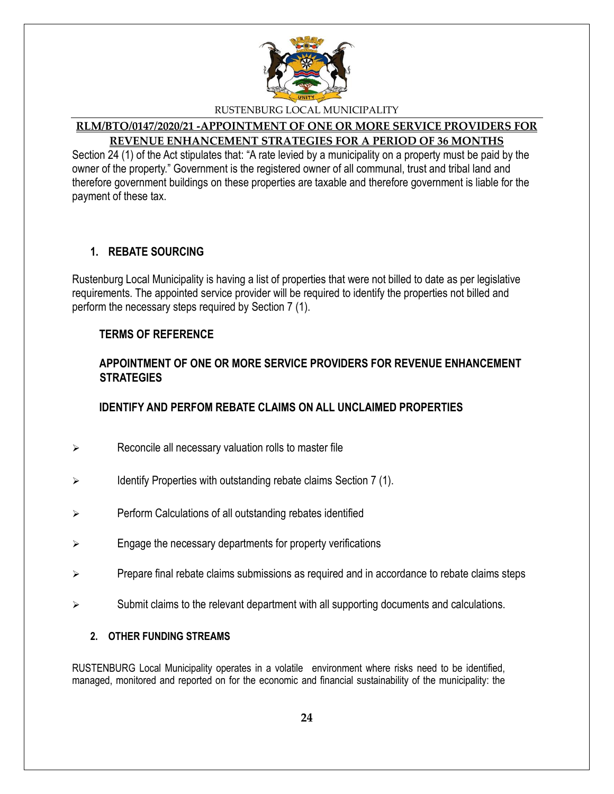

# **RLM/BTO/0147/2020/21 -APPOINTMENT OF ONE OR MORE SERVICE PROVIDERS FOR REVENUE ENHANCEMENT STRATEGIES FOR A PERIOD OF 36 MONTHS**

Section 24 (1) of the Act stipulates that: "A rate levied by a municipality on a property must be paid by the owner of the property." Government is the registered owner of all communal, trust and tribal land and therefore government buildings on these properties are taxable and therefore government is liable for the payment of these tax.

# **1. REBATE SOURCING**

Rustenburg Local Municipality is having a list of properties that were not billed to date as per legislative requirements. The appointed service provider will be required to identify the properties not billed and perform the necessary steps required by Section 7 (1).

### **TERMS OF REFERENCE**

# **APPOINTMENT OF ONE OR MORE SERVICE PROVIDERS FOR REVENUE ENHANCEMENT STRATEGIES**

# **IDENTIFY AND PERFOM REBATE CLAIMS ON ALL UNCLAIMED PROPERTIES**

- $\triangleright$  Reconcile all necessary valuation rolls to master file
- $\triangleright$  Identify Properties with outstanding rebate claims Section 7 (1).
- $\triangleright$  Perform Calculations of all outstanding rebates identified
- $\triangleright$  Engage the necessary departments for property verifications
- $\triangleright$  Prepare final rebate claims submissions as required and in accordance to rebate claims steps
- $\triangleright$  Submit claims to the relevant department with all supporting documents and calculations.

### **2. OTHER FUNDING STREAMS**

RUSTENBURG Local Municipality operates in a volatile environment where risks need to be identified, managed, monitored and reported on for the economic and financial sustainability of the municipality: the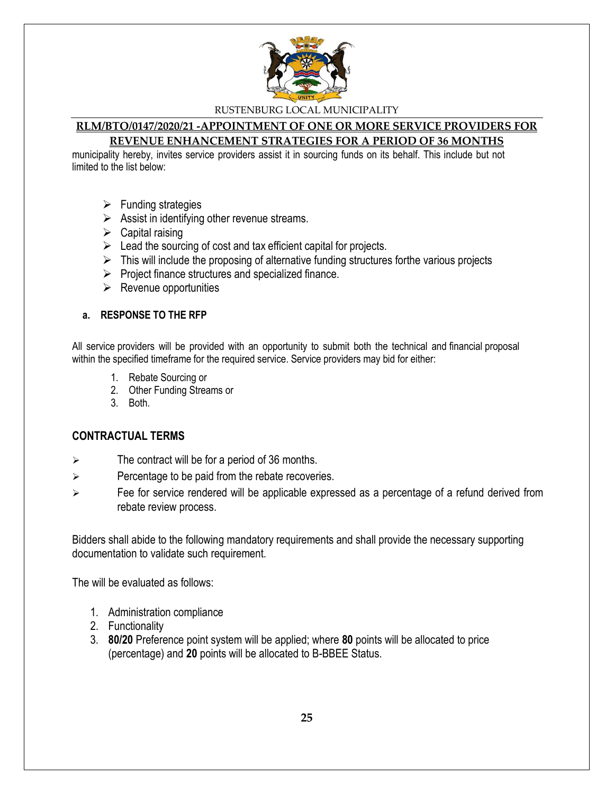

# **RLM/BTO/0147/2020/21 -APPOINTMENT OF ONE OR MORE SERVICE PROVIDERS FOR**

# **REVENUE ENHANCEMENT STRATEGIES FOR A PERIOD OF 36 MONTHS**

municipality hereby, invites service providers assist it in sourcing funds on its behalf. This include but not limited to the list below:

- $\triangleright$  Funding strategies
- $\triangleright$  Assist in identifying other revenue streams.
- $\triangleright$  Capital raising
- $\triangleright$  Lead the sourcing of cost and tax efficient capital for projects.
- $\triangleright$  This will include the proposing of alternative funding structures forthe various projects
- $\triangleright$  Project finance structures and specialized finance.
- $\triangleright$  Revenue opportunities

#### **a. RESPONSE TO THE RFP**

All service providers will be provided with an opportunity to submit both the technical and financial proposal within the specified timeframe for the required service. Service providers may bid for either:

- 1. Rebate Sourcing or
- 2. Other Funding Streams or
- 3. Both.

### **CONTRACTUAL TERMS**

- $\triangleright$  The contract will be for a period of 36 months.
- $\triangleright$  Percentage to be paid from the rebate recoveries.
- $\triangleright$  Fee for service rendered will be applicable expressed as a percentage of a refund derived from rebate review process.

Bidders shall abide to the following mandatory requirements and shall provide the necessary supporting documentation to validate such requirement.

The will be evaluated as follows:

- 1. Administration compliance
- 2. Functionality
- 3. **80/20** Preference point system will be applied; where **80** points will be allocated to price (percentage) and **20** points will be allocated to B-BBEE Status.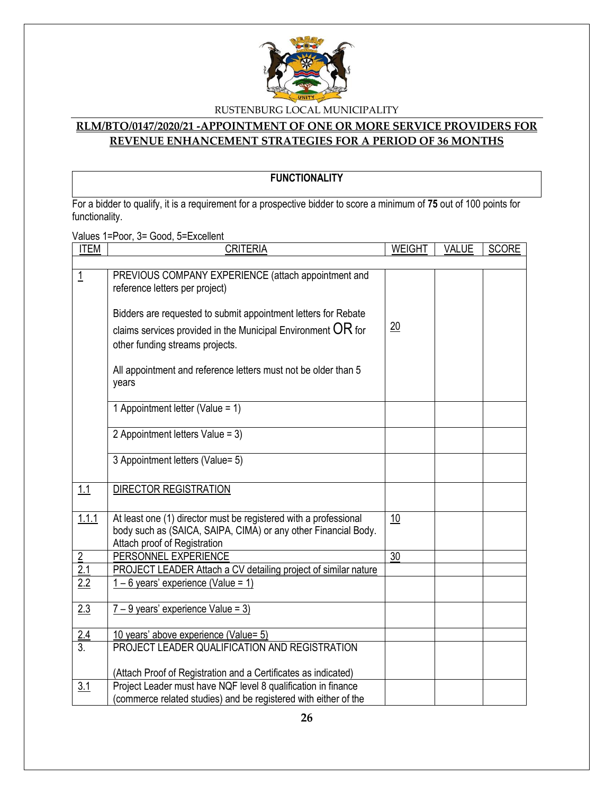

# **RLM/BTO/0147/2020/21 -APPOINTMENT OF ONE OR MORE SERVICE PROVIDERS FOR REVENUE ENHANCEMENT STRATEGIES FOR A PERIOD OF 36 MONTHS**

# **FUNCTIONALITY**

For a bidder to qualify, it is a requirement for a prospective bidder to score a minimum of **75** out of 100 points for functionality.

Values 1=Poor, 3= Good, 5=Excellent

| <b>ITEM</b>      | <b>CRITERIA</b>                                                                                                                                                     | <b>WEIGHT</b>   | <b>VALUE</b> | <b>SCORE</b> |
|------------------|---------------------------------------------------------------------------------------------------------------------------------------------------------------------|-----------------|--------------|--------------|
|                  |                                                                                                                                                                     |                 |              |              |
| <u> 1</u>        | PREVIOUS COMPANY EXPERIENCE (attach appointment and<br>reference letters per project)                                                                               |                 |              |              |
|                  | Bidders are requested to submit appointment letters for Rebate<br>claims services provided in the Municipal Environment $OR$ for<br>other funding streams projects. | $\overline{20}$ |              |              |
|                  | All appointment and reference letters must not be older than 5<br>years                                                                                             |                 |              |              |
|                  | 1 Appointment letter (Value = 1)                                                                                                                                    |                 |              |              |
|                  | 2 Appointment letters Value = 3)                                                                                                                                    |                 |              |              |
|                  | 3 Appointment letters (Value= 5)                                                                                                                                    |                 |              |              |
| 1.1              | <b>DIRECTOR REGISTRATION</b>                                                                                                                                        |                 |              |              |
| 1.1.1            | At least one (1) director must be registered with a professional<br>body such as (SAICA, SAIPA, CIMA) or any other Financial Body.<br>Attach proof of Registration  | 10              |              |              |
| $\overline{2}$   | PERSONNEL EXPERIENCE                                                                                                                                                | 30              |              |              |
| 2.1              | PROJECT LEADER Attach a CV detailing project of similar nature                                                                                                      |                 |              |              |
| 2.2              | $1 - 6$ years' experience (Value = 1)                                                                                                                               |                 |              |              |
| 2.3              | $7 - 9$ years' experience Value = 3)                                                                                                                                |                 |              |              |
|                  | 10 years' above experience (Value= 5)                                                                                                                               |                 |              |              |
| $\frac{2.4}{3.}$ | PROJECT LEADER QUALIFICATION AND REGISTRATION                                                                                                                       |                 |              |              |
|                  | (Attach Proof of Registration and a Certificates as indicated)                                                                                                      |                 |              |              |
| 3.1              | Project Leader must have NQF level 8 qualification in finance                                                                                                       |                 |              |              |
|                  | (commerce related studies) and be registered with either of the                                                                                                     |                 |              |              |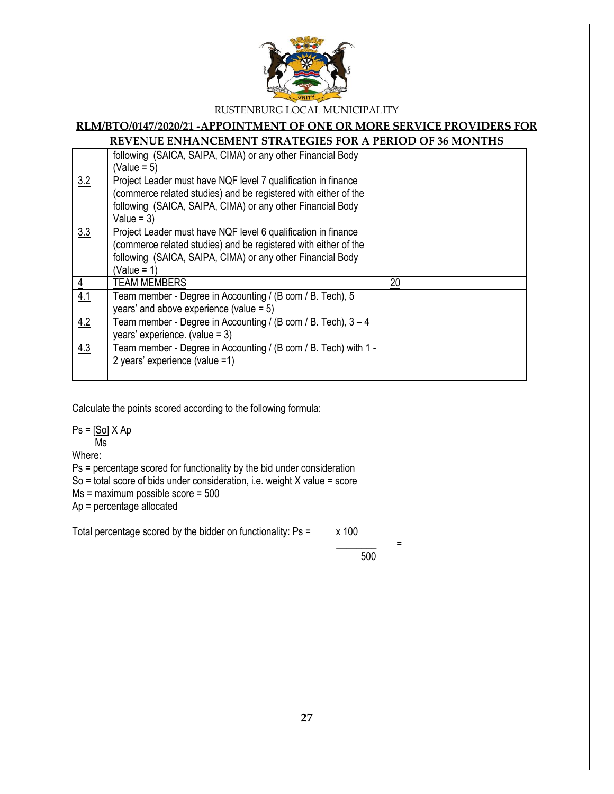

# **RLM/BTO/0147/2020/21 -APPOINTMENT OF ONE OR MORE SERVICE PROVIDERS FOR**

# **REVENUE ENHANCEMENT STRATEGIES FOR A PERIOD OF 36 MONTHS**

|                | following (SAICA, SAIPA, CIMA) or any other Financial Body      |    |  |
|----------------|-----------------------------------------------------------------|----|--|
|                | $(Value = 5)$                                                   |    |  |
| 3.2            | Project Leader must have NQF level 7 qualification in finance   |    |  |
|                | (commerce related studies) and be registered with either of the |    |  |
|                | following (SAICA, SAIPA, CIMA) or any other Financial Body      |    |  |
|                | Value = $3)$                                                    |    |  |
| 3.3            | Project Leader must have NQF level 6 qualification in finance   |    |  |
|                | (commerce related studies) and be registered with either of the |    |  |
|                | following (SAICA, SAIPA, CIMA) or any other Financial Body      |    |  |
|                | $(Value = 1)$                                                   |    |  |
| $\overline{4}$ | <b>TEAM MEMBERS</b>                                             | 20 |  |
| 4.1            | Team member - Degree in Accounting / (B com / B. Tech), 5       |    |  |
|                | years' and above experience (value = $5$ )                      |    |  |
| 4.2            | Team member - Degree in Accounting / (B com / B. Tech), 3 - 4   |    |  |
|                | years' experience. (value = $3$ )                               |    |  |
| 4.3            | Team member - Degree in Accounting / (B com / B. Tech) with 1 - |    |  |
|                | 2 years' experience (value =1)                                  |    |  |
|                |                                                                 |    |  |

Calculate the points scored according to the following formula:

 $Ps = [So] X Ap$ Ms

Where:

Ps = percentage scored for functionality by the bid under consideration

So = total score of bids under consideration, i.e. weight X value = score

Ms = maximum possible score = 500

Ap = percentage allocated

Total percentage scored by the bidder on functionality:  $Ps = x 100$ 

 \_\_\_\_\_\_\_\_ = 500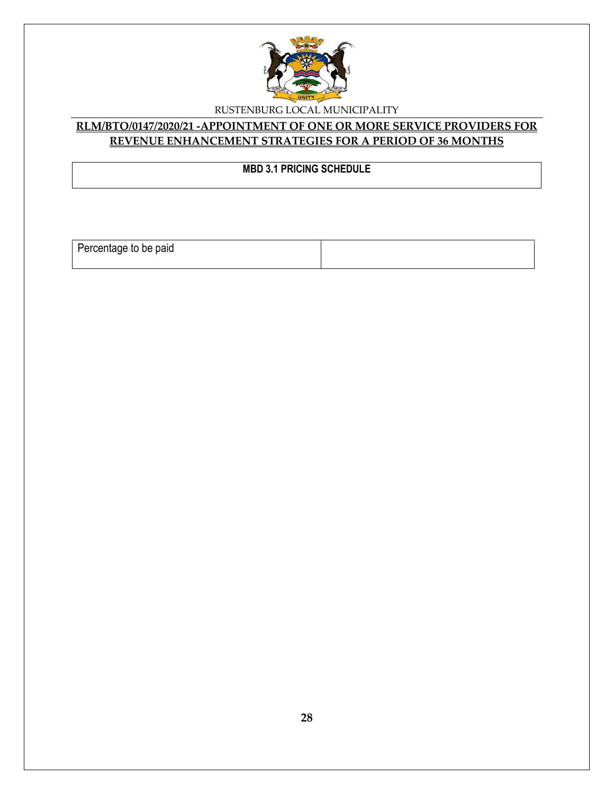

# **RLM/BTO/0147/2020/21 -APPOINTMENT OF ONE OR MORE SERVICE PROVIDERS FOR REVENUE ENHANCEMENT STRATEGIES FOR A PERIOD OF 36 MONTHS**

# **MBD 3.1 PRICING SCHEDULE**

Percentage to be paid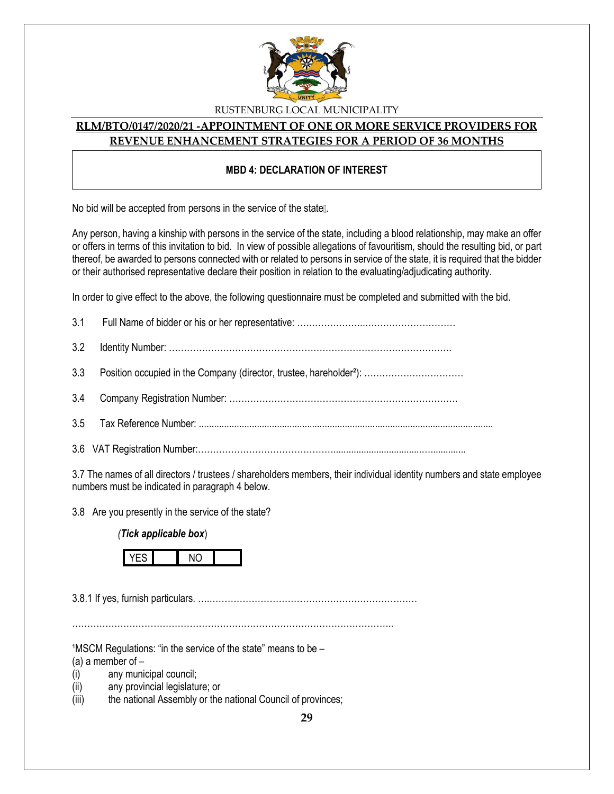

#### **RLM/BTO/0147/2020/21 -APPOINTMENT OF ONE OR MORE SERVICE PROVIDERS FOR REVENUE ENHANCEMENT STRATEGIES FOR A PERIOD OF 36 MONTHS**

#### **MBD 4: DECLARATION OF INTEREST**

No bid will be accepted from persons in the service of the state...

Any person, having a kinship with persons in the service of the state, including a blood relationship, may make an offer or offers in terms of this invitation to bid. In view of possible allegations of favouritism, should the resulting bid, or part thereof, be awarded to persons connected with or related to persons in service of the state, it is required that the bidder or their authorised representative declare their position in relation to the evaluating/adjudicating authority.

In order to give effect to the above, the following questionnaire must be completed and submitted with the bid.

3.7 The names of all directors / trustees / shareholders members, their individual identity numbers and state employee numbers must be indicated in paragraph 4 below.

3.8 Are you presently in the service of the state?

*(Tick applicable box*)



3.8.1 If yes, furnish particulars. ….……………………………………………………………

……………………………………………………………………………………………..

 $1$ MSCM Regulations: "in the service of the state" means to be  $-$ 

(a) a member of  $-$ 

- (i) any municipal council;
- (ii) any provincial legislature; or
- (iii) the national Assembly or the national Council of provinces;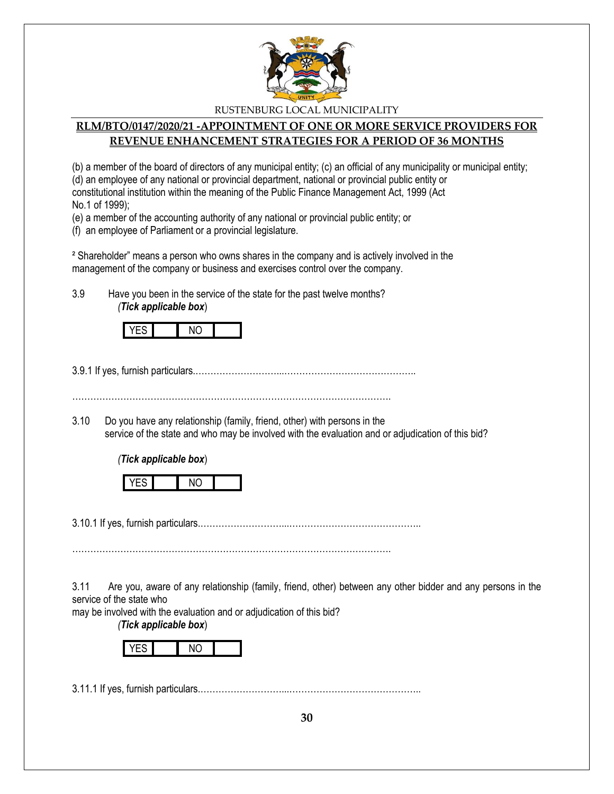

# **RLM/BTO/0147/2020/21 -APPOINTMENT OF ONE OR MORE SERVICE PROVIDERS FOR REVENUE ENHANCEMENT STRATEGIES FOR A PERIOD OF 36 MONTHS**

(b) a member of the board of directors of any municipal entity; (c) an official of any municipality or municipal entity; (d) an employee of any national or provincial department, national or provincial public entity or constitutional institution within the meaning of the Public Finance Management Act, 1999 (Act No.1 of 1999);

(e) a member of the accounting authority of any national or provincial public entity; or

(f) an employee of Parliament or a provincial legislature.

² Shareholder" means a person who owns shares in the company and is actively involved in the management of the company or business and exercises control over the company.

3.9 Have you been in the service of the state for the past twelve months? *(Tick applicable box*)



3.9.1 If yes, furnish particulars.………………………...……………………………………..

…………………………………………………………………………………………….

3.10 Do you have any relationship (family, friend, other) with persons in the service of the state and who may be involved with the evaluation and or adjudication of this bid?

*(Tick applicable box*)

|--|--|--|--|--|

3.10.1 If yes, furnish particulars.………………………...……………………………………..

…………………………………………………………………………………………….

3.11 Are you, aware of any relationship (family, friend, other) between any other bidder and any persons in the service of the state who

may be involved with the evaluation and or adjudication of this bid?

*(Tick applicable box*)



3.11.1 If yes, furnish particulars.………………………...……………………………………..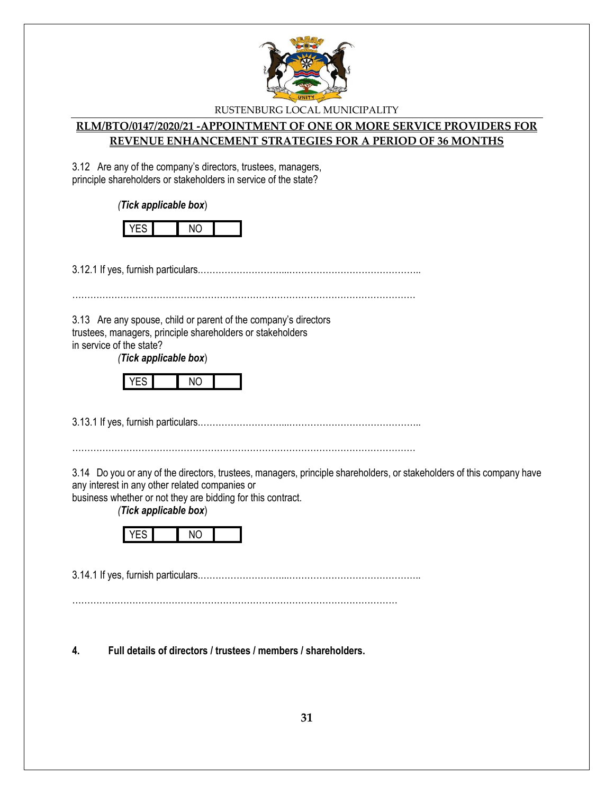

### **RLM/BTO/0147/2020/21 -APPOINTMENT OF ONE OR MORE SERVICE PROVIDERS FOR REVENUE ENHANCEMENT STRATEGIES FOR A PERIOD OF 36 MONTHS**

3.12 Are any of the company's directors, trustees, managers, principle shareholders or stakeholders in service of the state?

*(Tick applicable box*)

|--|

3.12.1 If yes, furnish particulars.………………………...……………………………………..

……………………………………………………………………………………………………

3.13 Are any spouse, child or parent of the company's directors trustees, managers, principle shareholders or stakeholders in service of the state?

*(Tick applicable box*)



3.13.1 If yes, furnish particulars.………………………...……………………………………..

……………………………………………………………………………………………………

3.14 Do you or any of the directors, trustees, managers, principle shareholders, or stakeholders of this company have any interest in any other related companies or

business whether or not they are bidding for this contract.

*(Tick applicable box*)



3.14.1 If yes, furnish particulars.………………………...……………………………………..

………………………………………………………………………………………………

**4. Full details of directors / trustees / members / shareholders.**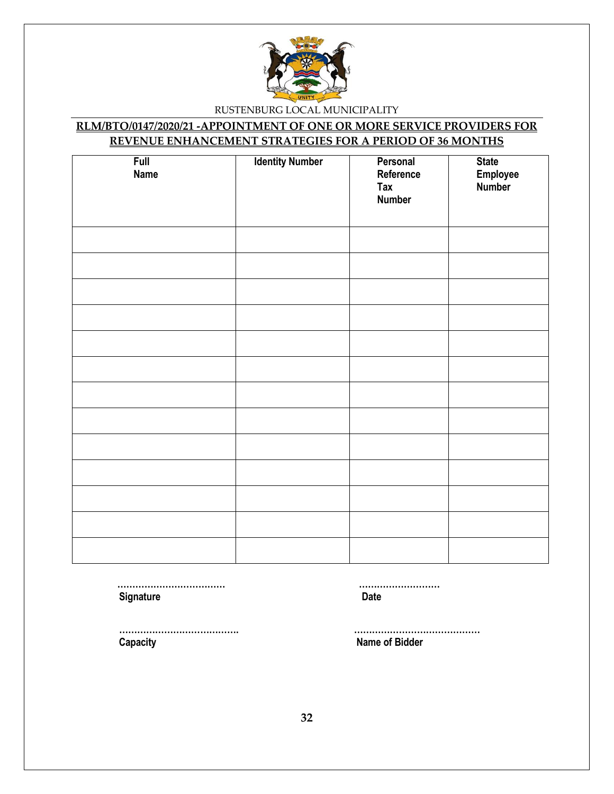

# **RLM/BTO/0147/2020/21 -APPOINTMENT OF ONE OR MORE SERVICE PROVIDERS FOR REVENUE ENHANCEMENT STRATEGIES FOR A PERIOD OF 36 MONTHS**

| <b>Full</b><br><b>Name</b> | <b>Identity Number</b> | Personal<br>Reference<br><b>Tax</b><br><b>Number</b> | <b>State</b><br>Employee<br>Number |
|----------------------------|------------------------|------------------------------------------------------|------------------------------------|
|                            |                        |                                                      |                                    |
|                            |                        |                                                      |                                    |
|                            |                        |                                                      |                                    |
|                            |                        |                                                      |                                    |
|                            |                        |                                                      |                                    |
|                            |                        |                                                      |                                    |
|                            |                        |                                                      |                                    |
|                            |                        |                                                      |                                    |
|                            |                        |                                                      |                                    |
|                            |                        |                                                      |                                    |
|                            |                        |                                                      |                                    |
|                            |                        |                                                      |                                    |
|                            |                        |                                                      |                                    |

 **……………………………… ……………………… Signature Date** 

 **…………………………………. …………………………………… Capacity Name of Bidder**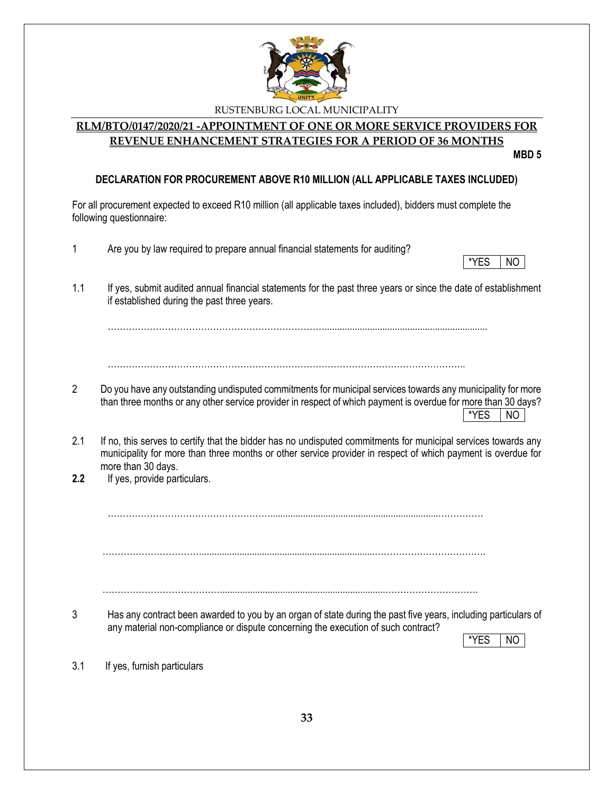

#### **RLM/BTO/0147/2020/21 -APPOINTMENT OF ONE OR MORE SERVICE PROVIDERS FOR REVENUE ENHANCEMENT STRATEGIES FOR A PERIOD OF 36 MONTHS**

**MBD 5**

#### **DECLARATION FOR PROCUREMENT ABOVE R10 MILLION (ALL APPLICABLE TAXES INCLUDED)**

For all procurement expected to exceed R10 million (all applicable taxes included), bidders must complete the following questionnaire:

- 1 Are you by law required to prepare annual financial statements for auditing?
- \*YES INO
- 1.1 If yes, submit audited annual financial statements for the past three years or since the date of establishment if established during the past three years.

……………………………………………………………….................................................................

- ………………………………………………………………………………………………………..
- 2 Do you have any outstanding undisputed commitments for municipal services towards any municipality for more than three months or any other service provider in respect of which payment is overdue for more than 30 days? \*YES NO
- 2.1 If no, this serves to certify that the bidder has no undisputed commitments for municipal services towards any municipality for more than three months or other service provider in respect of which payment is overdue for more than 30 days.
- **2.2** If yes, provide particulars.

………………………………………………...................................................................……………

…………………………….....................................................................……………………………….

…………………………………..................................................................………………………….

3 Has any contract been awarded to you by an organ of state during the past five years, including particulars of any material non-compliance or dispute concerning the execution of such contract?

\*YES | NO

3.1 If yes, furnish particulars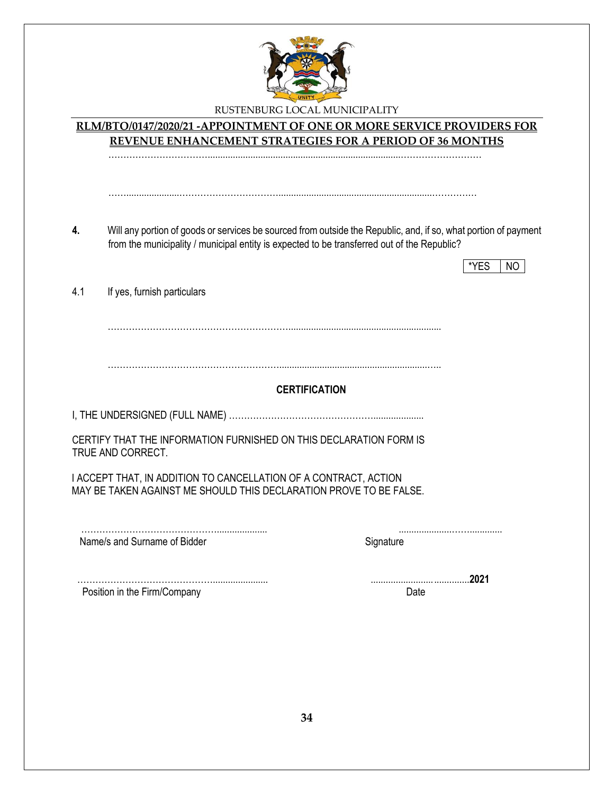

# RUSTENBURG LOCAL MUNICIPALITY **RLM/BTO/0147/2020/21 -APPOINTMENT OF ONE OR MORE SERVICE PROVIDERS FOR REVENUE ENHANCEMENT STRATEGIES FOR A PERIOD OF 36 MONTHS** …………………………….............................................................................……………………… …….....................…………………………….............................................................…………… **4.** Will any portion of goods or services be sourced from outside the Republic, and, if so, what portion of payment from the municipality / municipal entity is expected to be transferred out of the Republic?  $*$ YES  $\overline{1}$  NO 4.1 If yes, furnish particulars ……………………………………………………............................................................. …………………………………………………...........................................................….. **CERTIFICATION** I, THE UNDERSIGNED (FULL NAME) ………………………………………….................... CERTIFY THAT THE INFORMATION FURNISHED ON THIS DECLARATION FORM IS TRUE AND CORRECT. I ACCEPT THAT, IN ADDITION TO CANCELLATION OF A CONTRACT, ACTION MAY BE TAKEN AGAINST ME SHOULD THIS DECLARATION PROVE TO BE FALSE. ……………………………………….................... .....................……............. Name/s and Surname of Bidder Signature Signature ………………………………………...................... .......................................**2021** Position in the Firm/Company Date Date Date Date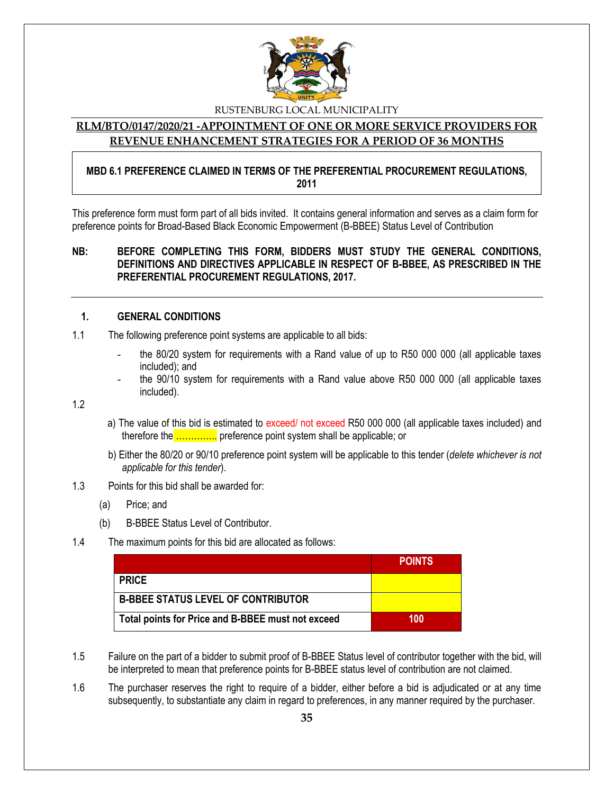

#### **RLM/BTO/0147/2020/21 -APPOINTMENT OF ONE OR MORE SERVICE PROVIDERS FOR REVENUE ENHANCEMENT STRATEGIES FOR A PERIOD OF 36 MONTHS**

#### **MBD 6.1 PREFERENCE CLAIMED IN TERMS OF THE PREFERENTIAL PROCUREMENT REGULATIONS, 2011**

This preference form must form part of all bids invited. It contains general information and serves as a claim form for preference points for Broad-Based Black Economic Empowerment (B-BBEE) Status Level of Contribution

#### **NB: BEFORE COMPLETING THIS FORM, BIDDERS MUST STUDY THE GENERAL CONDITIONS, DEFINITIONS AND DIRECTIVES APPLICABLE IN RESPECT OF B-BBEE, AS PRESCRIBED IN THE PREFERENTIAL PROCUREMENT REGULATIONS, 2017.**

#### **1. GENERAL CONDITIONS**

- 1.1 The following preference point systems are applicable to all bids:
	- the 80/20 system for requirements with a Rand value of up to R50 000 000 (all applicable taxes included); and
	- the 90/10 system for requirements with a Rand value above R50 000 000 (all applicable taxes included).

1.2

- a) The value of this bid is estimated to exceed/ not exceed R50 000 000 (all applicable taxes included) and therefore the ................ preference point system shall be applicable; or
- b) Either the 80/20 or 90/10 preference point system will be applicable to this tender (*delete whichever is not applicable for this tender*).
- 1.3 Points for this bid shall be awarded for:
	- (a) Price; and
	- (b) B-BBEE Status Level of Contributor.
- 1.4 The maximum points for this bid are allocated as follows:

|                                                   | <b>POINTS</b> |
|---------------------------------------------------|---------------|
| <b>PRICE</b>                                      |               |
| <b>B-BBEE STATUS LEVEL OF CONTRIBUTOR</b>         |               |
| Total points for Price and B-BBEE must not exceed | 100           |

- 1.5 Failure on the part of a bidder to submit proof of B-BBEE Status level of contributor together with the bid, will be interpreted to mean that preference points for B-BBEE status level of contribution are not claimed.
- 1.6 The purchaser reserves the right to require of a bidder, either before a bid is adjudicated or at any time subsequently, to substantiate any claim in regard to preferences, in any manner required by the purchaser.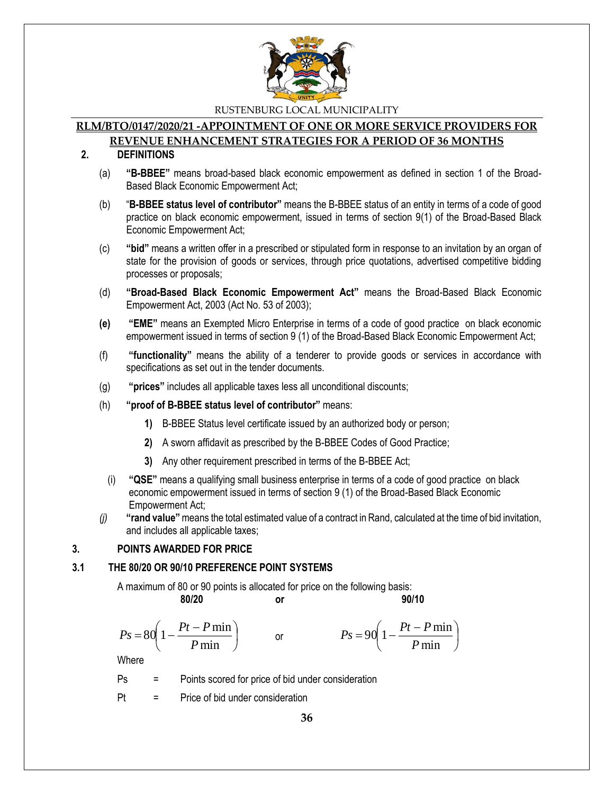

#### **RLM/BTO/0147/2020/21 -APPOINTMENT OF ONE OR MORE SERVICE PROVIDERS FOR**

#### **REVENUE ENHANCEMENT STRATEGIES FOR A PERIOD OF 36 MONTHS 2. DEFINITIONS**

- (a) **"B-BBEE"** means broad-based black economic empowerment as defined in section 1 of the Broad-Based Black Economic Empowerment Act;
- (b) "**B-BBEE status level of contributor"** means the B-BBEE status of an entity in terms of a code of good practice on black economic empowerment, issued in terms of section 9(1) of the Broad-Based Black Economic Empowerment Act;
- (c) **"bid"** means a written offer in a prescribed or stipulated form in response to an invitation by an organ of state for the provision of goods or services, through price quotations, advertised competitive bidding processes or proposals;
- (d) **"Broad-Based Black Economic Empowerment Act"** means the Broad-Based Black Economic Empowerment Act, 2003 (Act No. 53 of 2003);
- **(e) "EME"** means an Exempted Micro Enterprise in terms of a code of good practice on black economic empowerment issued in terms of section 9 (1) of the Broad-Based Black Economic Empowerment Act;
- (f) **"functionality"** means the ability of a tenderer to provide goods or services in accordance with specifications as set out in the tender documents.
- (g) **"prices"** includes all applicable taxes less all unconditional discounts;
- (h) **"proof of B-BBEE status level of contributor"** means:
	- **1)** B-BBEE Status level certificate issued by an authorized body or person;
	- **2)** A sworn affidavit as prescribed by the B-BBEE Codes of Good Practice;
	- **3)** Any other requirement prescribed in terms of the B-BBEE Act;
	- (i) **"QSE"** means a qualifying small business enterprise in terms of a code of good practice on black economic empowerment issued in terms of section 9 (1) of the Broad-Based Black Economic Empowerment Act;
- *(j)* **"rand value"**means the total estimated value of a contract in Rand, calculated at the time of bid invitation, and includes all applicable taxes;

#### **3. POINTS AWARDED FOR PRICE**

#### **3.1 THE 80/20 OR 90/10 PREFERENCE POINT SYSTEMS**

A maximum of 80 or 90 points is allocated for price on the following basis:

$$
\mathsf{I} \mathsf{I}
$$

**80/20 or 90/10**

I J  $\backslash$ 

$$
Ps = 80\left(1 - \frac{Pt - P\min P}{\min}\right) \qquad \text{or} \qquad \qquad Ps = 90\left(1 - \frac{Pt - P\min P}{\min}\right)
$$

**Where** 

Ps = Points scored for price of bid under consideration

Pt = Price of bid under consideration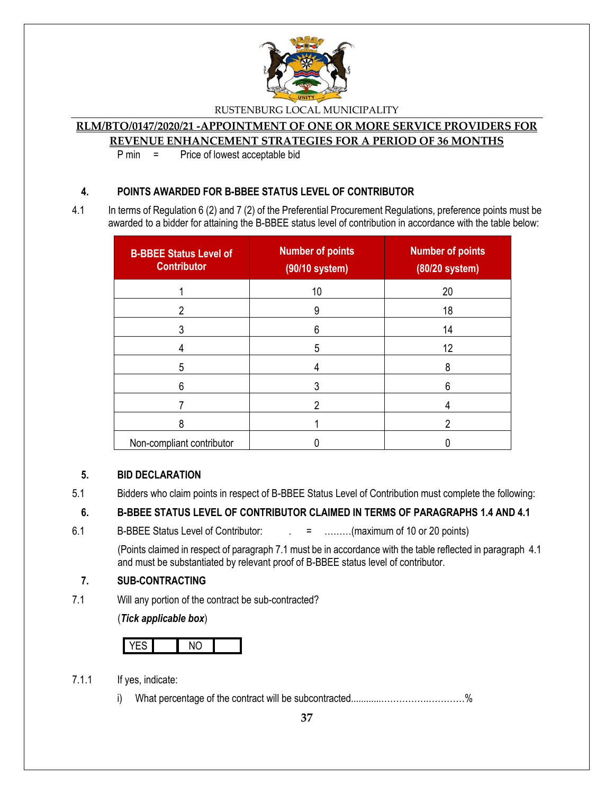

# **RLM/BTO/0147/2020/21 -APPOINTMENT OF ONE OR MORE SERVICE PROVIDERS FOR**

**REVENUE ENHANCEMENT STRATEGIES FOR A PERIOD OF 36 MONTHS**

P min = Price of lowest acceptable bid

#### **4. POINTS AWARDED FOR B-BBEE STATUS LEVEL OF CONTRIBUTOR**

4.1 In terms of Regulation 6 (2) and 7 (2) of the Preferential Procurement Regulations, preference points must be awarded to a bidder for attaining the B-BBEE status level of contribution in accordance with the table below:

| <b>B-BBEE Status Level of</b><br><b>Contributor</b> | <b>Number of points</b><br>(90/10 system) | <b>Number of points</b><br>(80/20 system) |
|-----------------------------------------------------|-------------------------------------------|-------------------------------------------|
|                                                     | 10                                        | 20                                        |
| 2                                                   | 9                                         | 18                                        |
|                                                     | 6                                         | 14                                        |
|                                                     | 5                                         | 12                                        |
| 5                                                   |                                           | 8                                         |
| 6                                                   |                                           | 6                                         |
|                                                     |                                           |                                           |
| 8                                                   |                                           | ŋ                                         |
| Non-compliant contributor                           |                                           |                                           |

#### **5. BID DECLARATION**

5.1 Bidders who claim points in respect of B-BBEE Status Level of Contribution must complete the following:

#### **6. B-BBEE STATUS LEVEL OF CONTRIBUTOR CLAIMED IN TERMS OF PARAGRAPHS 1.4 AND 4.1**

6.1 B-BBEE Status Level of Contributor:  $\qquad \qquad = \qquad \qquad \qquad$  = .........(maximum of 10 or 20 points)

(Points claimed in respect of paragraph 7.1 must be in accordance with the table reflected in paragraph 4.1 and must be substantiated by relevant proof of B-BBEE status level of contributor.

#### **7. SUB-CONTRACTING**

7.1 Will any portion of the contract be sub-contracted?

(*Tick applicable box*)

- 7.1.1 If yes, indicate:
	- i) What percentage of the contract will be subcontracted............…………….…………%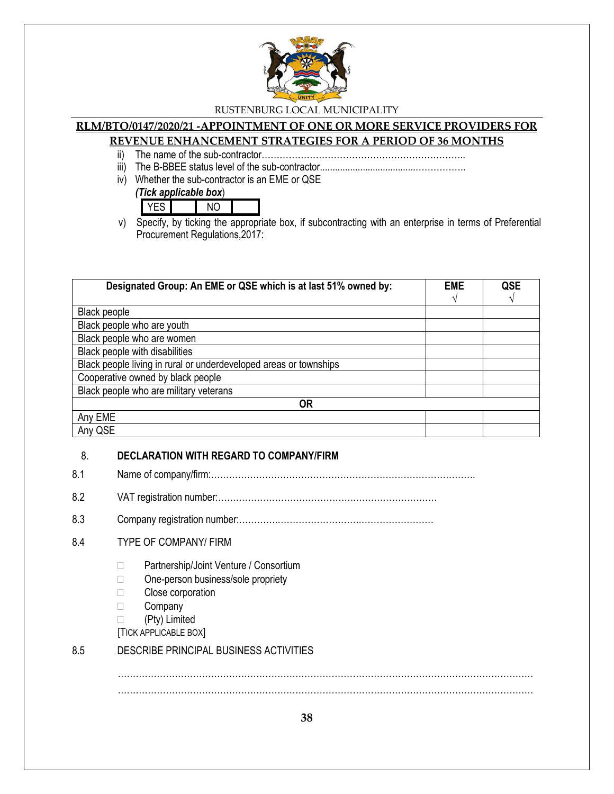

# **RLM/BTO/0147/2020/21 -APPOINTMENT OF ONE OR MORE SERVICE PROVIDERS FOR**

# **REVENUE ENHANCEMENT STRATEGIES FOR A PERIOD OF 36 MONTHS**

- ii) The name of the sub-contractor…………………………………………………………..
- iii) The B-BBEE status level of the sub-contractor......................................……………..
- iv) Whether the sub-contractor is an EME or QSE

*(Tick applicable box*) YES NO

v) Specify, by ticking the appropriate box, if subcontracting with an enterprise in terms of Preferential Procurement Regulations,2017:

| Designated Group: An EME or QSE which is at last 51% owned by:    | <b>EME</b> | QSE |
|-------------------------------------------------------------------|------------|-----|
|                                                                   |            |     |
| Black people                                                      |            |     |
| Black people who are youth                                        |            |     |
| Black people who are women                                        |            |     |
| Black people with disabilities                                    |            |     |
| Black people living in rural or underdeveloped areas or townships |            |     |
| Cooperative owned by black people                                 |            |     |
| Black people who are military veterans                            |            |     |
| <b>OR</b>                                                         |            |     |
| Any EME                                                           |            |     |
| Any QSE                                                           |            |     |

#### 8. **DECLARATION WITH REGARD TO COMPANY/FIRM**

- 8.1 Name of company/firm:…………………………………………………………………………….
- 8.2 VAT registration number:……………………………………….………………………
- 8.3 Company registration number:………….……………………….……………………

#### 8.4 TYPE OF COMPANY/ FIRM

- □ Partnership/Joint Venture / Consortium
- □ One-person business/sole propriety
- □ Close corporation
- □ Company
- (Pty) Limited
- [TICK APPLICABLE BOX]

#### 8.5 DESCRIBE PRINCIPAL BUSINESS ACTIVITIES

. The same independent of the same independent of the same independent of the same independent of the same independent of the same independent of the same independent of the same independent of the same independent of the …………………………………………………………………………………………………………………………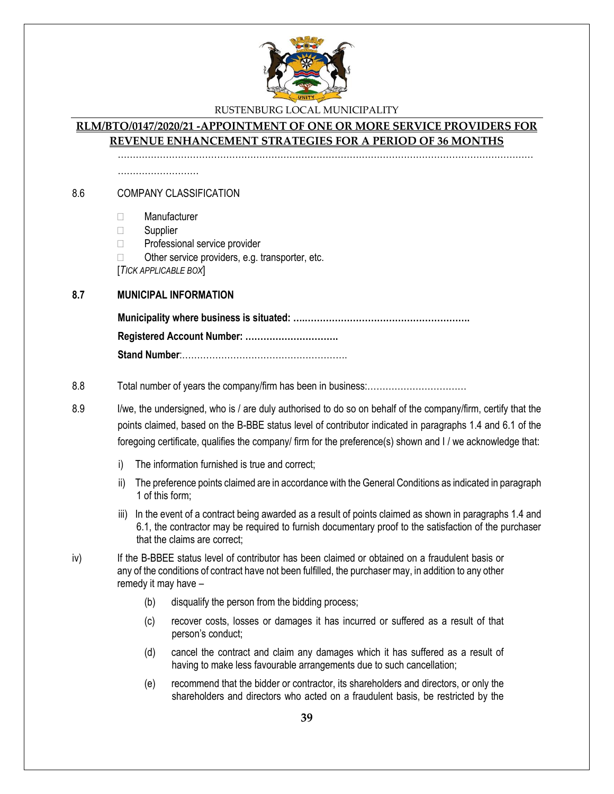

#### **RLM/BTO/0147/2020/21 -APPOINTMENT OF ONE OR MORE SERVICE PROVIDERS FOR REVENUE ENHANCEMENT STRATEGIES FOR A PERIOD OF 36 MONTHS**

…………………………………………………………………………………………………………………………

………………………

#### 8.6 COMPANY CLASSIFICATION

- Manufacturer
- □ Supplier
- □ Professional service provider
- $\Box$  Other service providers, e.g. transporter, etc. [*TICK APPLICABLE BOX*]

#### **8.7 MUNICIPAL INFORMATION**

**Municipality where business is situated: ….………………………………………………. Registered Account Number: …………………………. Stand Number**:……………………………………………….

#### 8.8 Total number of years the company/firm has been in business:……………………………

- 8.9 I/we, the undersigned, who is / are duly authorised to do so on behalf of the company/firm, certify that the points claimed, based on the B-BBE status level of contributor indicated in paragraphs 1.4 and 6.1 of the foregoing certificate, qualifies the company/ firm for the preference(s) shown and I / we acknowledge that:
	- i) The information furnished is true and correct;
	- ii) The preference points claimed are in accordance with the General Conditions as indicated in paragraph 1 of this form;
	- iii) In the event of a contract being awarded as a result of points claimed as shown in paragraphs 1.4 and 6.1, the contractor may be required to furnish documentary proof to the satisfaction of the purchaser that the claims are correct;
- iv) If the B-BBEE status level of contributor has been claimed or obtained on a fraudulent basis or any of the conditions of contract have not been fulfilled, the purchaser may, in addition to any other remedy it may have –
	- (b) disqualify the person from the bidding process;
	- (c) recover costs, losses or damages it has incurred or suffered as a result of that person's conduct;
	- (d) cancel the contract and claim any damages which it has suffered as a result of having to make less favourable arrangements due to such cancellation;
	- (e) recommend that the bidder or contractor, its shareholders and directors, or only the shareholders and directors who acted on a fraudulent basis, be restricted by the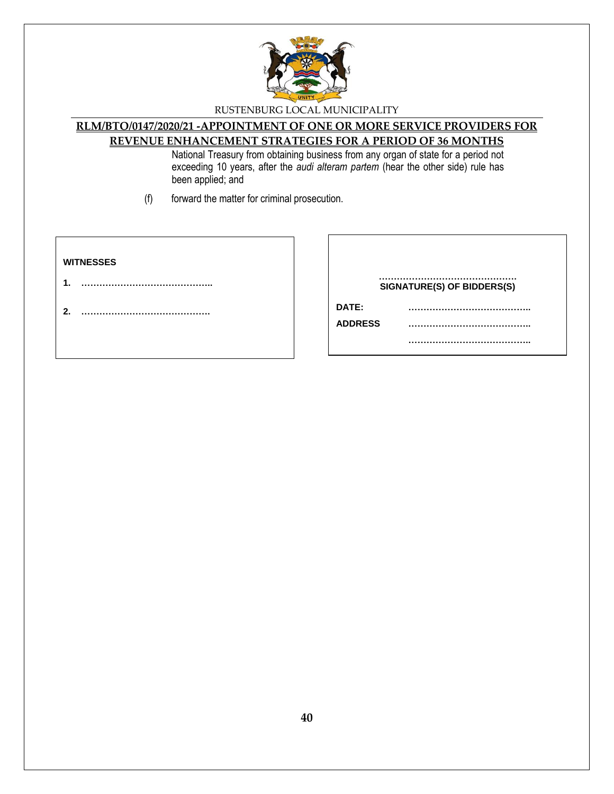

# **RLM/BTO/0147/2020/21 -APPOINTMENT OF ONE OR MORE SERVICE PROVIDERS FOR**

# **REVENUE ENHANCEMENT STRATEGIES FOR A PERIOD OF 36 MONTHS**

National Treasury from obtaining business from any organ of state for a period not exceeding 10 years, after the *audi alteram partem* (hear the other side) rule has been applied; and

(f) forward the matter for criminal prosecution.

#### **WITNESSES**

**1. ……………………………………..**

**2. …………………………………….**

|                | SIGNATURE(S) OF BIDDERS(S) |
|----------------|----------------------------|
| DATE:          |                            |
| <b>ADDRESS</b> |                            |
|                |                            |
|                |                            |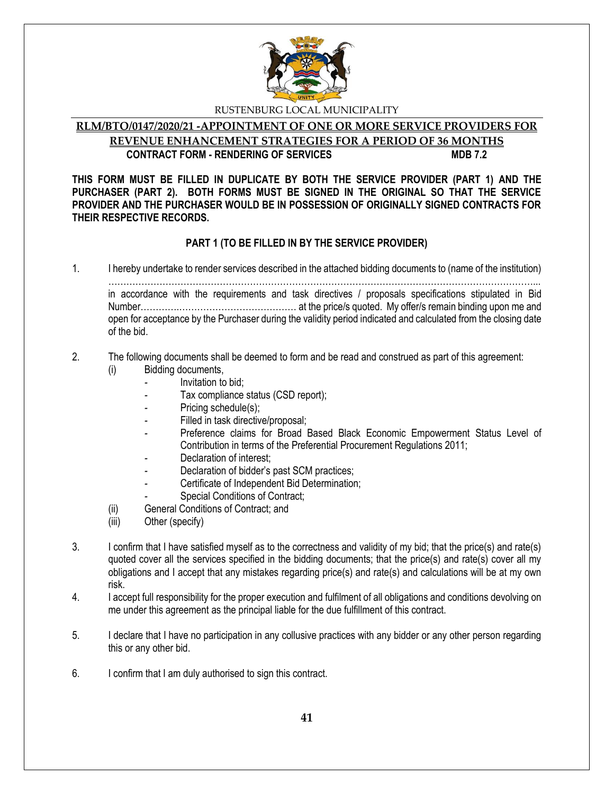

#### **RLM/BTO/0147/2020/21 -APPOINTMENT OF ONE OR MORE SERVICE PROVIDERS FOR REVENUE ENHANCEMENT STRATEGIES FOR A PERIOD OF 36 MONTHS CONTRACT FORM - RENDERING OF SERVICES MDB 7.2**

**THIS FORM MUST BE FILLED IN DUPLICATE BY BOTH THE SERVICE PROVIDER (PART 1) AND THE PURCHASER (PART 2). BOTH FORMS MUST BE SIGNED IN THE ORIGINAL SO THAT THE SERVICE PROVIDER AND THE PURCHASER WOULD BE IN POSSESSION OF ORIGINALLY SIGNED CONTRACTS FOR THEIR RESPECTIVE RECORDS.**

### **PART 1 (TO BE FILLED IN BY THE SERVICE PROVIDER)**

1. I hereby undertake to render services described in the attached bidding documents to (name of the institution) ……………………………………………………………………………………………………………………………... in accordance with the requirements and task directives / proposals specifications stipulated in Bid

Number………….………………………………… at the price/s quoted. My offer/s remain binding upon me and open for acceptance by the Purchaser during the validity period indicated and calculated from the closing date of the bid.

- 2. The following documents shall be deemed to form and be read and construed as part of this agreement:
	- (i) Bidding documents,
		- *-* Invitation to bid;
		- *-* Tax compliance status (CSD report);
		- Pricing schedule(s);
		- *-* Filled in task directive/proposal;
		- Preference claims for Broad Based Black Economic Empowerment Status Level of Contribution in terms of the Preferential Procurement Regulations 2011;
		- *-* Declaration of interest;
		- *-* Declaration of bidder's past SCM practices;
		- *-* Certificate of Independent Bid Determination;
		- **Special Conditions of Contract;**
	- (ii) General Conditions of Contract; and
	- (iii) Other (specify)
- 3. I confirm that I have satisfied myself as to the correctness and validity of my bid; that the price(s) and rate(s) quoted cover all the services specified in the bidding documents; that the price(s) and rate(s) cover all my obligations and I accept that any mistakes regarding price(s) and rate(s) and calculations will be at my own risk.
- 4. I accept full responsibility for the proper execution and fulfilment of all obligations and conditions devolving on me under this agreement as the principal liable for the due fulfillment of this contract.
- 5. I declare that I have no participation in any collusive practices with any bidder or any other person regarding this or any other bid.
- 6. I confirm that I am duly authorised to sign this contract.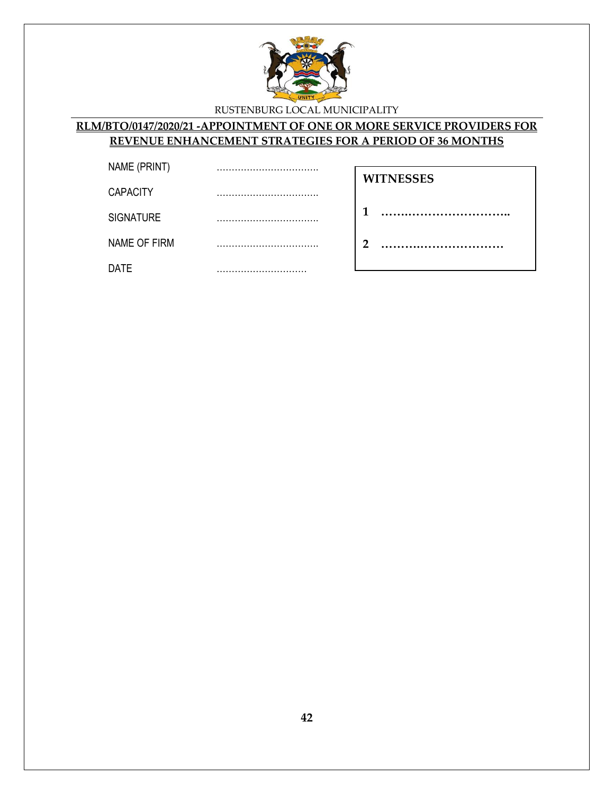

#### **RLM/BTO/0147/2020/21 -APPOINTMENT OF ONE OR MORE SERVICE PROVIDERS FOR REVENUE ENHANCEMENT STRATEGIES FOR A PERIOD OF 36 MONTHS**

| NAME (PRINT)     |                      |  |
|------------------|----------------------|--|
|                  | <br><b>WITNESSES</b> |  |
| <b>CAPACITY</b>  |                      |  |
| <b>SIGNATURE</b> |                      |  |
| NAME OF FIRM     | റ                    |  |
| <b>DATE</b>      |                      |  |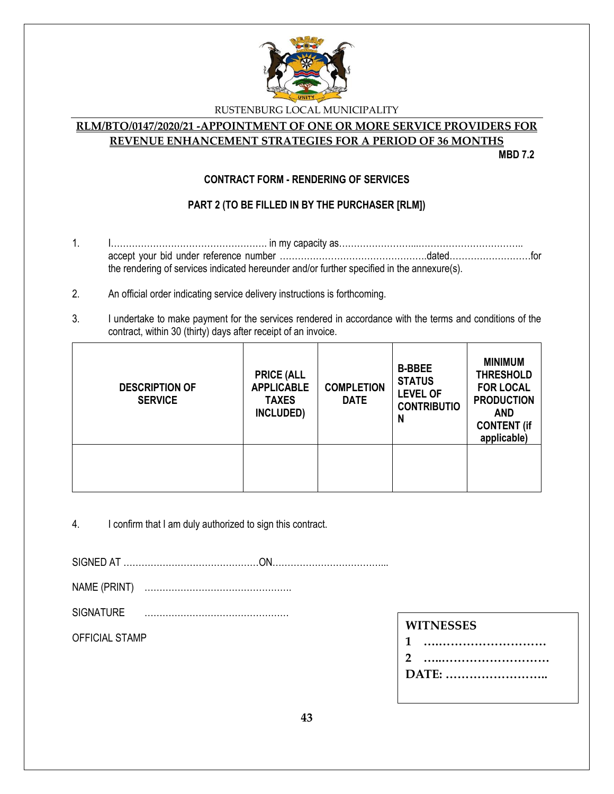

#### **RLM/BTO/0147/2020/21 -APPOINTMENT OF ONE OR MORE SERVICE PROVIDERS FOR REVENUE ENHANCEMENT STRATEGIES FOR A PERIOD OF 36 MONTHS**

**MBD 7.2**

#### **CONTRACT FORM - RENDERING OF SERVICES**

### **PART 2 (TO BE FILLED IN BY THE PURCHASER [RLM])**

- 1. I……………………………………………. in my capacity as……………………...…………………………….. accept your bid under reference number ………………………………………….dated………………………for the rendering of services indicated hereunder and/or further specified in the annexure(s).
- 2. An official order indicating service delivery instructions is forthcoming.
- 3. I undertake to make payment for the services rendered in accordance with the terms and conditions of the contract, within 30 (thirty) days after receipt of an invoice.

| <b>DESCRIPTION OF</b><br><b>SERVICE</b> | <b>PRICE (ALL</b><br><b>APPLICABLE</b><br><b>TAXES</b><br>INCLUDED) | <b>COMPLETION</b><br><b>DATE</b> | <b>B-BBEE</b><br><b>STATUS</b><br><b>LEVEL OF</b><br><b>CONTRIBUTIO</b><br>N | <b>MINIMUM</b><br><b>THRESHOLD</b><br><b>FOR LOCAL</b><br><b>PRODUCTION</b><br><b>AND</b><br><b>CONTENT (if</b><br>applicable) |
|-----------------------------------------|---------------------------------------------------------------------|----------------------------------|------------------------------------------------------------------------------|--------------------------------------------------------------------------------------------------------------------------------|
|                                         |                                                                     |                                  |                                                                              |                                                                                                                                |

4. I confirm that I am duly authorized to sign this contract.

SIGNED AT ………………………………………ON………………………………...

NAME (PRINT) ………………………………………….

SIGNATURE …………………………………………

OFFICIAL STAMP

| <b>WITNESSES</b> |   |  |
|------------------|---|--|
|                  | 1 |  |
|                  |   |  |
| DATE:            |   |  |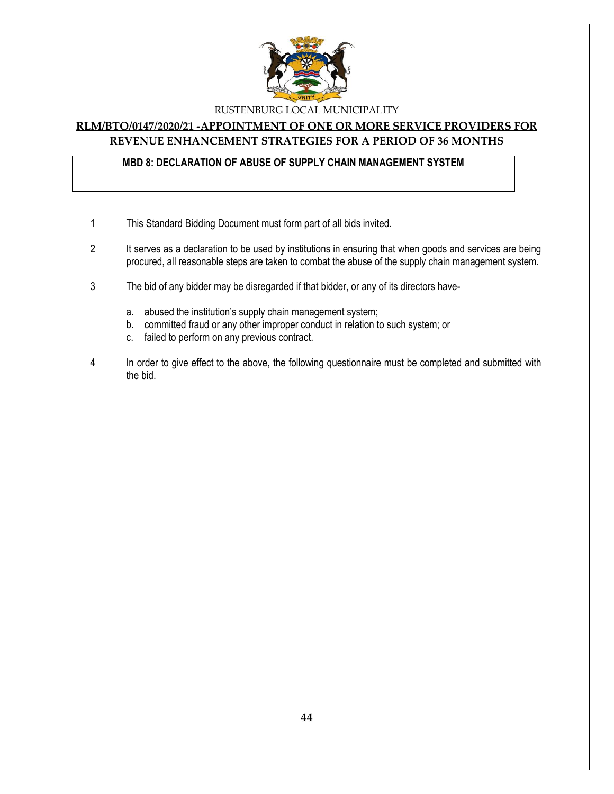

#### **RLM/BTO/0147/2020/21 -APPOINTMENT OF ONE OR MORE SERVICE PROVIDERS FOR REVENUE ENHANCEMENT STRATEGIES FOR A PERIOD OF 36 MONTHS**

#### **MBD 8: DECLARATION OF ABUSE OF SUPPLY CHAIN MANAGEMENT SYSTEM**

- 1 This Standard Bidding Document must form part of all bids invited.
- 2 It serves as a declaration to be used by institutions in ensuring that when goods and services are being procured, all reasonable steps are taken to combat the abuse of the supply chain management system.
- 3 The bid of any bidder may be disregarded if that bidder, or any of its directors have
	- a. abused the institution's supply chain management system;
	- b. committed fraud or any other improper conduct in relation to such system; or
	- c. failed to perform on any previous contract.
- 4 In order to give effect to the above, the following questionnaire must be completed and submitted with the bid.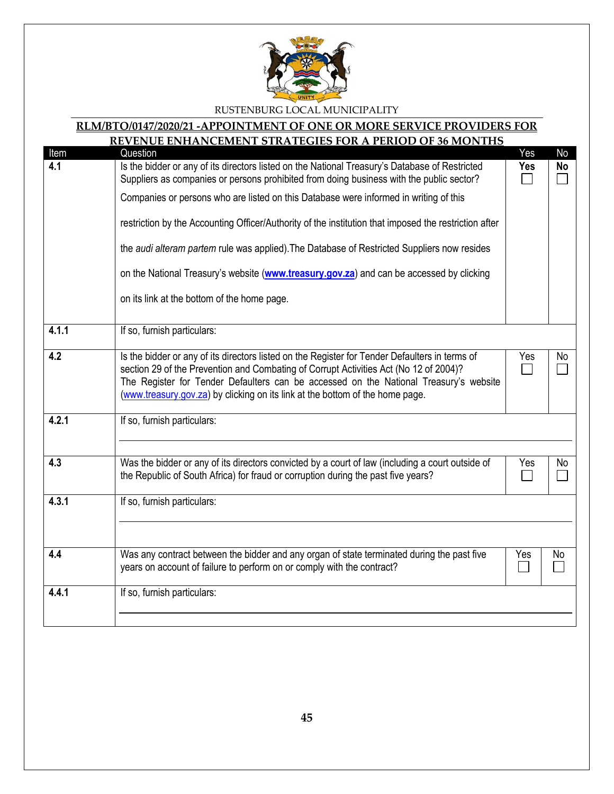

#### **RLM/BTO/0147/2020/21 -APPOINTMENT OF ONE OR MORE SERVICE PROVIDERS FOR**

# **REVENUE ENHANCEMENT STRATEGIES FOR A PERIOD OF 36 MONTHS** Item Question Yes No **4.1** Is the bidder or any of its directors listed on the National Treasury's Database of Restricted **Yes No** Suppliers as companies or persons prohibited from doing business with the public sector?  $\Box$ П Companies or persons who are listed on this Database were informed in writing of this restriction by the Accounting Officer/Authority of the institution that imposed the restriction after the *audi alteram partem* rule was applied).The Database of Restricted Suppliers now resides on the National Treasury's website (**[www.treasury.gov.za](http://www.treasury.gov.za/)**) and can be accessed by clicking on its link at the bottom of the home page. **4.1.1** If so, furnish particulars: **4.2** Is the bidder or any of its directors listed on the Register for Tender Defaulters in terms of Yes | No section 29 of the Prevention and Combating of Corrupt Activities Act (No 12 of 2004)?  $\Box$  $\Box$ The Register for Tender Defaulters can be accessed on the National Treasury's website [\(www.treasury.gov.za\)](http://www.treasury.gov.za/) by clicking on its link at the bottom of the home page. **4.2.1** If so, furnish particulars: **4.3** Was the bidder or any of its directors convicted by a court of law (including a court outside of Yes | No the Republic of South Africa) for fraud or corruption during the past five years? П **4.3.1** If so, furnish particulars: **4.4** Was any contract between the bidder and any organ of state terminated during the past five Yes | No years on account of failure to perform on or comply with the contract?  $\Box$  $\Box$ **4.4.1** If so, furnish particulars: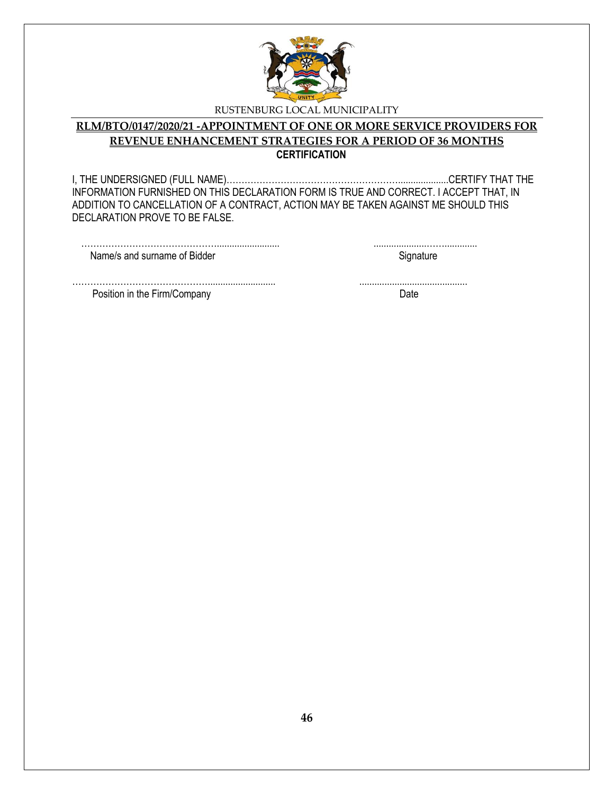

#### **RLM/BTO/0147/2020/21 -APPOINTMENT OF ONE OR MORE SERVICE PROVIDERS FOR REVENUE ENHANCEMENT STRATEGIES FOR A PERIOD OF 36 MONTHS CERTIFICATION**

I, THE UNDERSIGNED (FULL NAME)…………………………………………………....................CERTIFY THAT THE INFORMATION FURNISHED ON THIS DECLARATION FORM IS TRUE AND CORRECT. I ACCEPT THAT, IN ADDITION TO CANCELLATION OF A CONTRACT, ACTION MAY BE TAKEN AGAINST ME SHOULD THIS DECLARATION PROVE TO BE FALSE.

………………………………………......................... .....................……............. Name/s and surname of Bidder Signature Signature

………………………………………........................... ........................................... Position in the Firm/Company Date by the Second Date of the Second Date of the Date of the Date of the Date of the Date of the Date of the Date of the Date of the Date of the Date of the Date of the Date of the Date of the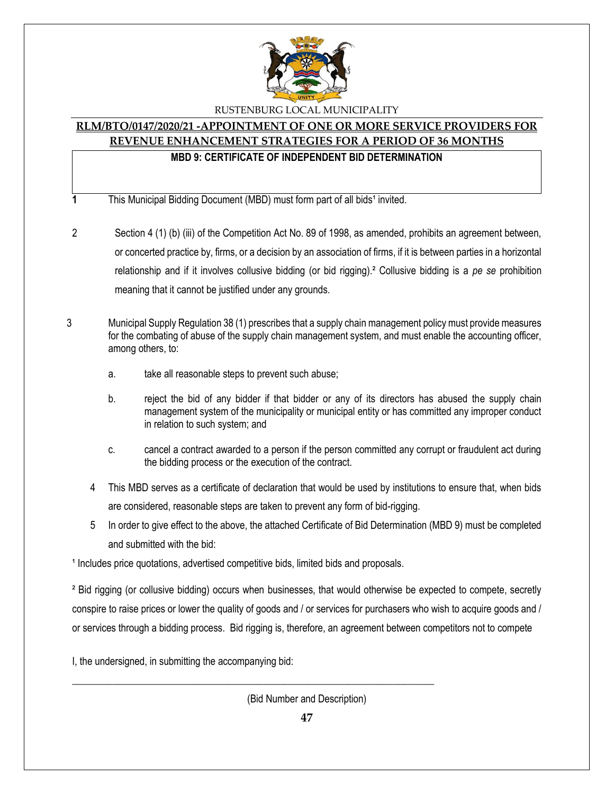

# **RLM/BTO/0147/2020/21 -APPOINTMENT OF ONE OR MORE SERVICE PROVIDERS FOR REVENUE ENHANCEMENT STRATEGIES FOR A PERIOD OF 36 MONTHS**

#### **MBD 9: CERTIFICATE OF INDEPENDENT BID DETERMINATION**

**1** This Municipal Bidding Document (MBD) must form part of all bids<sup>1</sup> invited.

- 2 Section 4 (1) (b) (iii) of the Competition Act No. 89 of 1998, as amended, prohibits an agreement between, or concerted practice by, firms, or a decision by an association of firms, if it is between parties in a horizontal relationship and if it involves collusive bidding (or bid rigging).² Collusive bidding is a *pe se* prohibition meaning that it cannot be justified under any grounds.
- 3 Municipal Supply Regulation 38 (1) prescribes that a supply chain management policy must provide measures for the combating of abuse of the supply chain management system, and must enable the accounting officer, among others, to:
	- a. take all reasonable steps to prevent such abuse;
	- b. reject the bid of any bidder if that bidder or any of its directors has abused the supply chain management system of the municipality or municipal entity or has committed any improper conduct in relation to such system; and
	- c. cancel a contract awarded to a person if the person committed any corrupt or fraudulent act during the bidding process or the execution of the contract.
	- 4 This MBD serves as a certificate of declaration that would be used by institutions to ensure that, when bids are considered, reasonable steps are taken to prevent any form of bid-rigging.
	- 5 In order to give effect to the above, the attached Certificate of Bid Determination (MBD 9) must be completed and submitted with the bid:

<sup>1</sup> Includes price quotations, advertised competitive bids, limited bids and proposals.

\_\_\_\_\_\_\_\_\_\_\_\_\_\_\_\_\_\_\_\_\_\_\_\_\_\_\_\_\_\_\_\_\_\_\_\_\_\_\_\_\_\_\_\_\_\_\_\_\_\_\_\_\_\_\_\_\_\_\_\_\_\_\_\_\_\_\_\_\_\_\_\_

² Bid rigging (or collusive bidding) occurs when businesses, that would otherwise be expected to compete, secretly conspire to raise prices or lower the quality of goods and / or services for purchasers who wish to acquire goods and / or services through a bidding process. Bid rigging is, therefore, an agreement between competitors not to compete

I, the undersigned, in submitting the accompanying bid:

(Bid Number and Description)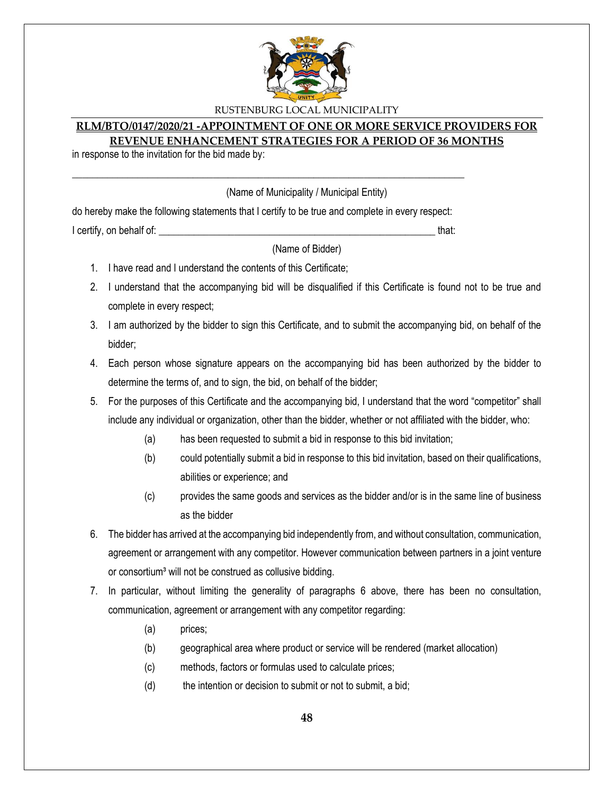

#### **RLM/BTO/0147/2020/21 -APPOINTMENT OF ONE OR MORE SERVICE PROVIDERS FOR REVENUE ENHANCEMENT STRATEGIES FOR A PERIOD OF 36 MONTHS**

in response to the invitation for the bid made by:

(Name of Municipality / Municipal Entity)

do hereby make the following statements that I certify to be true and complete in every respect: I certify, on behalf of: the state of the state of the state of the state of the state of the state of the stat

\_\_\_\_\_\_\_\_\_\_\_\_\_\_\_\_\_\_\_\_\_\_\_\_\_\_\_\_\_\_\_\_\_\_\_\_\_\_\_\_\_\_\_\_\_\_\_\_\_\_\_\_\_\_\_\_\_\_\_\_\_\_\_\_\_\_\_\_\_\_\_\_\_\_\_\_\_\_

(Name of Bidder)

- 1. I have read and I understand the contents of this Certificate;
- 2. I understand that the accompanying bid will be disqualified if this Certificate is found not to be true and complete in every respect;
- 3. I am authorized by the bidder to sign this Certificate, and to submit the accompanying bid, on behalf of the bidder;
- 4. Each person whose signature appears on the accompanying bid has been authorized by the bidder to determine the terms of, and to sign, the bid, on behalf of the bidder;
- 5. For the purposes of this Certificate and the accompanying bid, I understand that the word "competitor" shall include any individual or organization, other than the bidder, whether or not affiliated with the bidder, who:
	- (a) has been requested to submit a bid in response to this bid invitation;
	- (b) could potentially submit a bid in response to this bid invitation, based on their qualifications, abilities or experience; and
	- (c) provides the same goods and services as the bidder and/or is in the same line of business as the bidder
- 6. The bidder has arrived at the accompanying bid independently from, and without consultation, communication, agreement or arrangement with any competitor. However communication between partners in a joint venture or consortium<sup>3</sup> will not be construed as collusive bidding.
- 7. In particular, without limiting the generality of paragraphs 6 above, there has been no consultation, communication, agreement or arrangement with any competitor regarding:
	- (a) prices;
	- (b) geographical area where product or service will be rendered (market allocation)
	- (c) methods, factors or formulas used to calculate prices;
	- $(d)$  the intention or decision to submit or not to submit, a bid;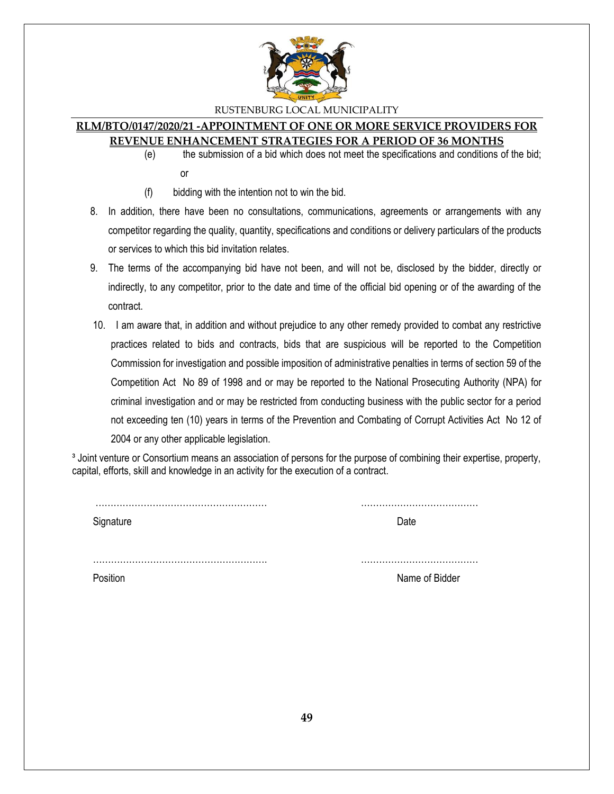

#### **RLM/BTO/0147/2020/21 -APPOINTMENT OF ONE OR MORE SERVICE PROVIDERS FOR REVENUE ENHANCEMENT STRATEGIES FOR A PERIOD OF 36 MONTHS**

- (e) the submission of a bid which does not meet the specifications and conditions of the bid; or
- (f) bidding with the intention not to win the bid.
- 8. In addition, there have been no consultations, communications, agreements or arrangements with any competitor regarding the quality, quantity, specifications and conditions or delivery particulars of the products or services to which this bid invitation relates.
- 9. The terms of the accompanying bid have not been, and will not be, disclosed by the bidder, directly or indirectly, to any competitor, prior to the date and time of the official bid opening or of the awarding of the contract.
- 10. I am aware that, in addition and without prejudice to any other remedy provided to combat any restrictive practices related to bids and contracts, bids that are suspicious will be reported to the Competition Commission for investigation and possible imposition of administrative penalties in terms of section 59 of the Competition Act No 89 of 1998 and or may be reported to the National Prosecuting Authority (NPA) for criminal investigation and or may be restricted from conducting business with the public sector for a period not exceeding ten (10) years in terms of the Prevention and Combating of Corrupt Activities Act No 12 of 2004 or any other applicable legislation.

<sup>3</sup> Joint venture or Consortium means an association of persons for the purpose of combining their expertise, property, capital, efforts, skill and knowledge in an activity for the execution of a contract.

Signature Date

………………………………………………… …………………………………

…………………………………………………. ………………………………… Position **Name of Bidder** Name of Bidder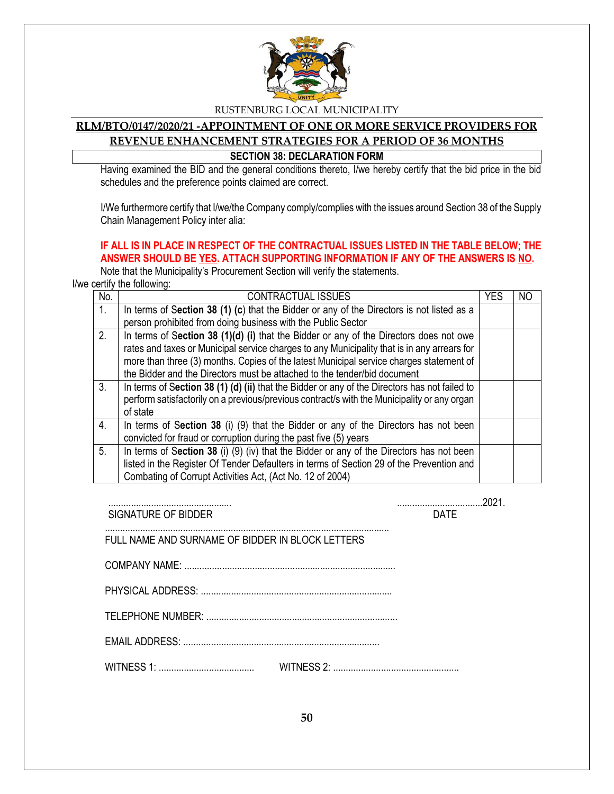

#### **RLM/BTO/0147/2020/21 -APPOINTMENT OF ONE OR MORE SERVICE PROVIDERS FOR REVENUE ENHANCEMENT STRATEGIES FOR A PERIOD OF 36 MONTHS SECTION 38: DECLARATION FORM**

Having examined the BID and the general conditions thereto, I/we hereby certify that the bid price in the bid schedules and the preference points claimed are correct.

I/We furthermore certify that I/we/the Company comply/complies with the issues around Section 38 of the Supply Chain Management Policy inter alia:

## **IF ALL IS IN PLACE IN RESPECT OF THE CONTRACTUAL ISSUES LISTED IN THE TABLE BELOW; THE ANSWER SHOULD BE YES. ATTACH SUPPORTING INFORMATION IF ANY OF THE ANSWERS IS NO.**

Note that the Municipality's Procurement Section will verify the statements. I/we certify the following:

| No.            | <b>CONTRACTUAL ISSUES</b>                                                                                                                                                                                | <b>YES</b> | N <sub>O</sub> |
|----------------|----------------------------------------------------------------------------------------------------------------------------------------------------------------------------------------------------------|------------|----------------|
| 1.             | In terms of Section 38 (1) (c) that the Bidder or any of the Directors is not listed as a                                                                                                                |            |                |
|                | person prohibited from doing business with the Public Sector                                                                                                                                             |            |                |
| 2 <sub>1</sub> | In terms of Section 38 (1)(d) (i) that the Bidder or any of the Directors does not owe                                                                                                                   |            |                |
|                | rates and taxes or Municipal service charges to any Municipality that is in any arrears for                                                                                                              |            |                |
|                | more than three (3) months. Copies of the latest Municipal service charges statement of                                                                                                                  |            |                |
|                | the Bidder and the Directors must be attached to the tender/bid document                                                                                                                                 |            |                |
| 3.             | In terms of Section 38 (1) (d) (ii) that the Bidder or any of the Directors has not failed to<br>perform satisfactorily on a previous/previous contract/s with the Municipality or any organ<br>of state |            |                |
| 4.             | In terms of Section 38 (i) (9) that the Bidder or any of the Directors has not been                                                                                                                      |            |                |
|                | convicted for fraud or corruption during the past five (5) years                                                                                                                                         |            |                |
| 5.             | In terms of Section 38 (i) (9) (iv) that the Bidder or any of the Directors has not been                                                                                                                 |            |                |
|                | listed in the Register Of Tender Defaulters in terms of Section 29 of the Prevention and                                                                                                                 |            |                |
|                | Combating of Corrupt Activities Act, (Act No. 12 of 2004)                                                                                                                                                |            |                |

................................................. ..................................2021.

SIGNATURE OF BIDDER **DATE** 

 ................................................................................................................. FULL NAME AND SURNAME OF BIDDER IN BLOCK LETTERS

| ∴OMPANY NAME      |
|-------------------|
| PHYSICAL ADDRESS: |

TELEPHONE NUMBER: ............................................................................

EMAIL ADDRESS: ..............................................................................

WITNESS 1: ...................................... WITNESS 2: ..................................................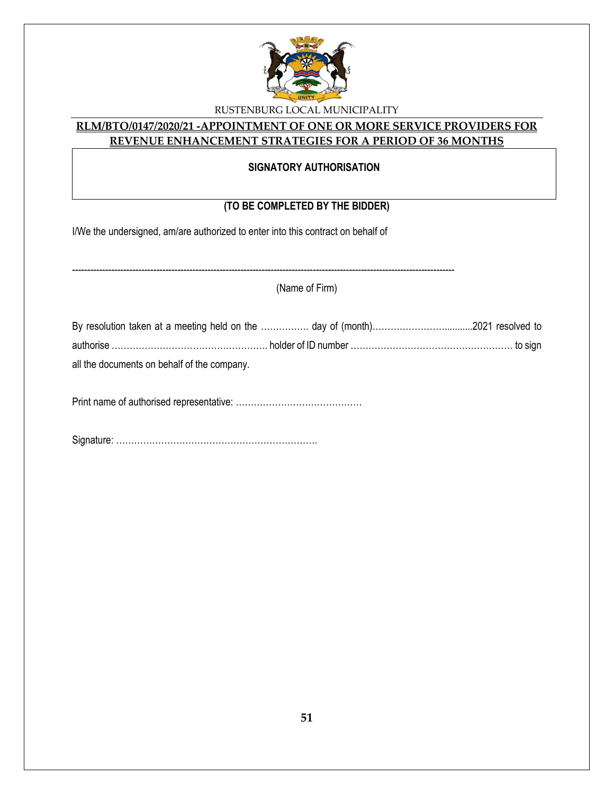

#### **RLM/BTO/0147/2020/21 -APPOINTMENT OF ONE OR MORE SERVICE PROVIDERS FOR REVENUE ENHANCEMENT STRATEGIES FOR A PERIOD OF 36 MONTHS**

#### **SIGNATORY AUTHORISATION**

# **(TO BE COMPLETED BY THE BIDDER)**

I/We the undersigned, am/are authorized to enter into this contract on behalf of

| (Name of Firm)                              |  |  |
|---------------------------------------------|--|--|
|                                             |  |  |
|                                             |  |  |
| all the documents on behalf of the company. |  |  |
|                                             |  |  |
|                                             |  |  |

Signature: ………………………………………………………….